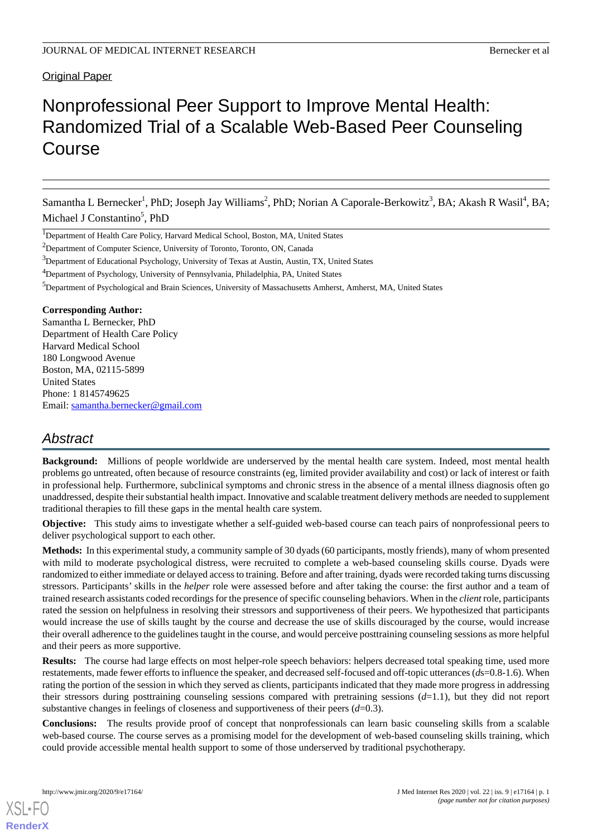# Original Paper

# Nonprofessional Peer Support to Improve Mental Health: Randomized Trial of a Scalable Web-Based Peer Counseling Course

Samantha L Bernecker<sup>1</sup>, PhD; Joseph Jay Williams<sup>2</sup>, PhD; Norian A Caporale-Berkowitz<sup>3</sup>, BA; Akash R Wasil<sup>4</sup>, BA; Michael J Constantino<sup>5</sup>, PhD

<sup>1</sup>Department of Health Care Policy, Harvard Medical School, Boston, MA, United States

 $2$ Department of Computer Science, University of Toronto, Toronto, ON, Canada

<sup>3</sup>Department of Educational Psychology, University of Texas at Austin, Austin, TX, United States

<sup>4</sup>Department of Psychology, University of Pennsylvania, Philadelphia, PA, United States

<sup>5</sup>Department of Psychological and Brain Sciences, University of Massachusetts Amherst, Amherst, MA, United States

## **Corresponding Author:**

Samantha L Bernecker, PhD Department of Health Care Policy Harvard Medical School 180 Longwood Avenue Boston, MA, 02115-5899 United States Phone: 1 8145749625 Email: [samantha.bernecker@gmail.com](mailto:samantha.bernecker@gmail.com)

# *Abstract*

**Background:** Millions of people worldwide are underserved by the mental health care system. Indeed, most mental health problems go untreated, often because of resource constraints (eg, limited provider availability and cost) or lack of interest or faith in professional help. Furthermore, subclinical symptoms and chronic stress in the absence of a mental illness diagnosis often go unaddressed, despite their substantial health impact. Innovative and scalable treatment delivery methods are needed to supplement traditional therapies to fill these gaps in the mental health care system.

**Objective:** This study aims to investigate whether a self-guided web-based course can teach pairs of nonprofessional peers to deliver psychological support to each other.

**Methods:** In this experimental study, a community sample of 30 dyads (60 participants, mostly friends), many of whom presented with mild to moderate psychological distress, were recruited to complete a web-based counseling skills course. Dyads were randomized to either immediate or delayed access to training. Before and after training, dyads were recorded taking turns discussing stressors. Participants' skills in the *helper* role were assessed before and after taking the course: the first author and a team of trained research assistants coded recordings for the presence of specific counseling behaviors. When in the *client* role, participants rated the session on helpfulness in resolving their stressors and supportiveness of their peers. We hypothesized that participants would increase the use of skills taught by the course and decrease the use of skills discouraged by the course, would increase their overall adherence to the guidelines taught in the course, and would perceive posttraining counseling sessions as more helpful and their peers as more supportive.

**Results:** The course had large effects on most helper-role speech behaviors: helpers decreased total speaking time, used more restatements, made fewer efforts to influence the speaker, and decreased self-focused and off-topic utterances (*d*s=0.8-1.6). When rating the portion of the session in which they served as clients, participants indicated that they made more progress in addressing their stressors during posttraining counseling sessions compared with pretraining sessions (*d*=1.1), but they did not report substantive changes in feelings of closeness and supportiveness of their peers (*d*=0.3).

**Conclusions:** The results provide proof of concept that nonprofessionals can learn basic counseling skills from a scalable web-based course. The course serves as a promising model for the development of web-based counseling skills training, which could provide accessible mental health support to some of those underserved by traditional psychotherapy.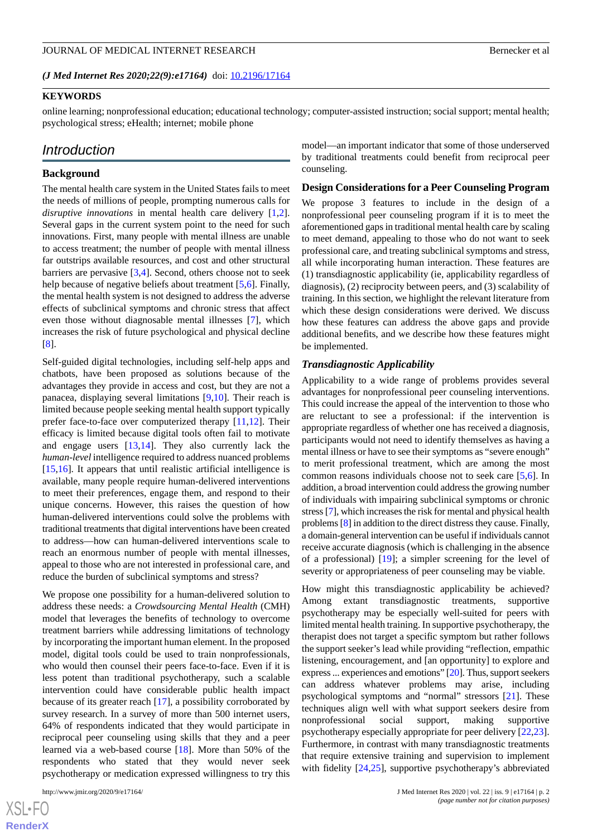## *(J Med Internet Res 2020;22(9):e17164)* doi:  $10.2196/17164$

# **KEYWORDS**

online learning; nonprofessional education; educational technology; computer-assisted instruction; social support; mental health; psychological stress; eHealth; internet; mobile phone

# *Introduction*

## **Background**

The mental health care system in the United States fails to meet the needs of millions of people, prompting numerous calls for *disruptive innovations* in mental health care delivery [\[1](#page-16-0),[2\]](#page-16-1). Several gaps in the current system point to the need for such innovations. First, many people with mental illness are unable to access treatment; the number of people with mental illness far outstrips available resources, and cost and other structural barriers are pervasive [\[3,](#page-16-2)[4\]](#page-16-3). Second, others choose not to seek help because of negative beliefs about treatment [[5,](#page-16-4)[6](#page-16-5)]. Finally, the mental health system is not designed to address the adverse effects of subclinical symptoms and chronic stress that affect even those without diagnosable mental illnesses [[7\]](#page-16-6), which increases the risk of future psychological and physical decline [[8\]](#page-16-7).

Self-guided digital technologies, including self-help apps and chatbots, have been proposed as solutions because of the advantages they provide in access and cost, but they are not a panacea, displaying several limitations [\[9](#page-16-8),[10\]](#page-16-9). Their reach is limited because people seeking mental health support typically prefer face-to-face over computerized therapy [[11](#page-16-10)[,12](#page-16-11)]. Their efficacy is limited because digital tools often fail to motivate and engage users  $[13,14]$  $[13,14]$  $[13,14]$  $[13,14]$ . They also currently lack the *human-level*intelligence required to address nuanced problems [[15](#page-16-14)[,16](#page-16-15)]. It appears that until realistic artificial intelligence is available, many people require human-delivered interventions to meet their preferences, engage them, and respond to their unique concerns. However, this raises the question of how human-delivered interventions could solve the problems with traditional treatments that digital interventions have been created to address—how can human-delivered interventions scale to reach an enormous number of people with mental illnesses, appeal to those who are not interested in professional care, and reduce the burden of subclinical symptoms and stress?

We propose one possibility for a human-delivered solution to address these needs: a *Crowdsourcing Mental Health* (CMH) model that leverages the benefits of technology to overcome treatment barriers while addressing limitations of technology by incorporating the important human element. In the proposed model, digital tools could be used to train nonprofessionals, who would then counsel their peers face-to-face. Even if it is less potent than traditional psychotherapy, such a scalable intervention could have considerable public health impact because of its greater reach [[17\]](#page-16-16), a possibility corroborated by survey research. In a survey of more than 500 internet users, 64% of respondents indicated that they would participate in reciprocal peer counseling using skills that they and a peer learned via a web-based course [\[18](#page-16-17)]. More than 50% of the respondents who stated that they would never seek psychotherapy or medication expressed willingness to try this

model—an important indicator that some of those underserved by traditional treatments could benefit from reciprocal peer counseling.

#### **Design Considerations for a Peer Counseling Program**

We propose 3 features to include in the design of a nonprofessional peer counseling program if it is to meet the aforementioned gaps in traditional mental health care by scaling to meet demand, appealing to those who do not want to seek professional care, and treating subclinical symptoms and stress, all while incorporating human interaction. These features are (1) transdiagnostic applicability (ie, applicability regardless of diagnosis), (2) reciprocity between peers, and (3) scalability of training. In this section, we highlight the relevant literature from which these design considerations were derived. We discuss how these features can address the above gaps and provide additional benefits, and we describe how these features might be implemented.

## *Transdiagnostic Applicability*

Applicability to a wide range of problems provides several advantages for nonprofessional peer counseling interventions. This could increase the appeal of the intervention to those who are reluctant to see a professional: if the intervention is appropriate regardless of whether one has received a diagnosis, participants would not need to identify themselves as having a mental illness or have to see their symptoms as "severe enough" to merit professional treatment, which are among the most common reasons individuals choose not to seek care [\[5](#page-16-4),[6\]](#page-16-5). In addition, a broad intervention could address the growing number of individuals with impairing subclinical symptoms or chronic stress [\[7](#page-16-6)], which increases the risk for mental and physical health problems [\[8](#page-16-7)] in addition to the direct distress they cause. Finally, a domain-general intervention can be useful if individuals cannot receive accurate diagnosis (which is challenging in the absence of a professional) [\[19](#page-16-18)]; a simpler screening for the level of severity or appropriateness of peer counseling may be viable.

How might this transdiagnostic applicability be achieved? Among extant transdiagnostic treatments, supportive psychotherapy may be especially well-suited for peers with limited mental health training. In supportive psychotherapy, the therapist does not target a specific symptom but rather follows the support seeker's lead while providing "reflection, empathic listening, encouragement, and [an opportunity] to explore and express ... experiences and emotions" [\[20\]](#page-16-19). Thus, support seekers can address whatever problems may arise, including psychological symptoms and "normal" stressors [\[21](#page-16-20)]. These techniques align well with what support seekers desire from nonprofessional social support, making supportive psychotherapy especially appropriate for peer delivery [\[22](#page-16-21),[23\]](#page-16-22). Furthermore, in contrast with many transdiagnostic treatments that require extensive training and supervision to implement with fidelity [[24,](#page-17-0)[25](#page-17-1)], supportive psychotherapy's abbreviated

 $XS$ -FO **[RenderX](http://www.renderx.com/)**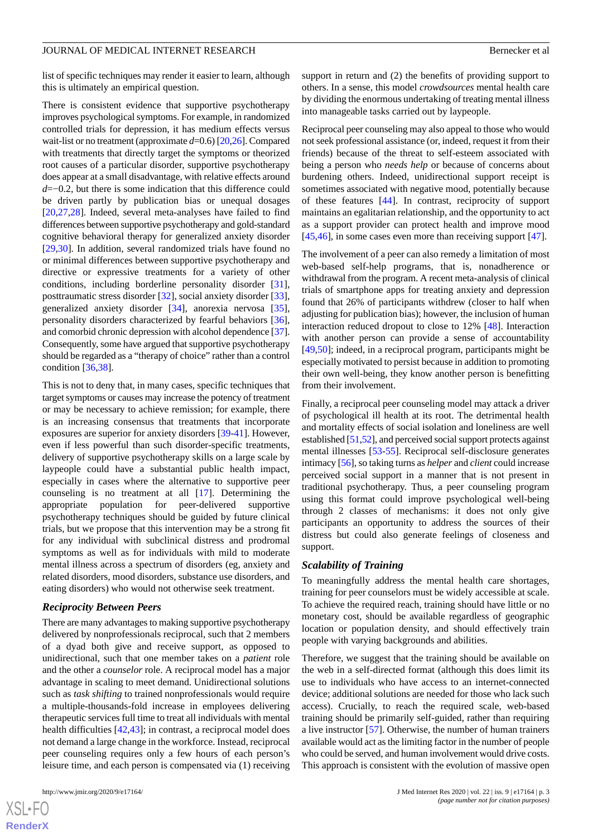list of specific techniques may render it easier to learn, although this is ultimately an empirical question.

There is consistent evidence that supportive psychotherapy improves psychological symptoms. For example, in randomized controlled trials for depression, it has medium effects versus wait-list or no treatment (approximate *d*=0.6) [\[20](#page-16-19),[26](#page-17-2)]. Compared with treatments that directly target the symptoms or theorized root causes of a particular disorder, supportive psychotherapy does appear at a small disadvantage, with relative effects around *d*=−0.2, but there is some indication that this difference could be driven partly by publication bias or unequal dosages [[20](#page-16-19)[,27](#page-17-3),[28\]](#page-17-4). Indeed, several meta-analyses have failed to find differences between supportive psychotherapy and gold-standard cognitive behavioral therapy for generalized anxiety disorder [[29](#page-17-5)[,30](#page-17-6)]. In addition, several randomized trials have found no or minimal differences between supportive psychotherapy and directive or expressive treatments for a variety of other conditions, including borderline personality disorder [[31\]](#page-17-7), posttraumatic stress disorder [\[32](#page-17-8)], social anxiety disorder [[33\]](#page-17-9), generalized anxiety disorder [[34\]](#page-17-10), anorexia nervosa [[35\]](#page-17-11), personality disorders characterized by fearful behaviors [[36\]](#page-17-12), and comorbid chronic depression with alcohol dependence [\[37\]](#page-17-13). Consequently, some have argued that supportive psychotherapy should be regarded as a "therapy of choice" rather than a control condition [\[36](#page-17-12),[38\]](#page-17-14).

This is not to deny that, in many cases, specific techniques that target symptoms or causes may increase the potency of treatment or may be necessary to achieve remission; for example, there is an increasing consensus that treatments that incorporate exposures are superior for anxiety disorders [\[39](#page-17-15)[-41](#page-17-16)]. However, even if less powerful than such disorder-specific treatments, delivery of supportive psychotherapy skills on a large scale by laypeople could have a substantial public health impact, especially in cases where the alternative to supportive peer counseling is no treatment at all [[17\]](#page-16-16). Determining the appropriate population for peer-delivered supportive psychotherapy techniques should be guided by future clinical trials, but we propose that this intervention may be a strong fit for any individual with subclinical distress and prodromal symptoms as well as for individuals with mild to moderate mental illness across a spectrum of disorders (eg, anxiety and related disorders, mood disorders, substance use disorders, and eating disorders) who would not otherwise seek treatment.

## *Reciprocity Between Peers*

There are many advantages to making supportive psychotherapy delivered by nonprofessionals reciprocal, such that 2 members of a dyad both give and receive support, as opposed to unidirectional, such that one member takes on a *patient* role and the other a *counselor* role. A reciprocal model has a major advantage in scaling to meet demand. Unidirectional solutions such as *task shifting* to trained nonprofessionals would require a multiple-thousands-fold increase in employees delivering therapeutic services full time to treat all individuals with mental health difficulties [\[42](#page-17-17),[43\]](#page-17-18); in contrast, a reciprocal model does not demand a large change in the workforce. Instead, reciprocal peer counseling requires only a few hours of each person's leisure time, and each person is compensated via (1) receiving

 $XS$  $\cdot$ FC **[RenderX](http://www.renderx.com/)** support in return and (2) the benefits of providing support to others. In a sense, this model *crowdsources* mental health care by dividing the enormous undertaking of treating mental illness into manageable tasks carried out by laypeople.

Reciprocal peer counseling may also appeal to those who would not seek professional assistance (or, indeed, request it from their friends) because of the threat to self-esteem associated with being a person who *needs help* or because of concerns about burdening others. Indeed, unidirectional support receipt is sometimes associated with negative mood, potentially because of these features [\[44](#page-17-19)]. In contrast, reciprocity of support maintains an egalitarian relationship, and the opportunity to act as a support provider can protect health and improve mood [[45,](#page-17-20)[46\]](#page-18-0), in some cases even more than receiving support [\[47](#page-18-1)].

The involvement of a peer can also remedy a limitation of most web-based self-help programs, that is, nonadherence or withdrawal from the program. A recent meta-analysis of clinical trials of smartphone apps for treating anxiety and depression found that 26% of participants withdrew (closer to half when adjusting for publication bias); however, the inclusion of human interaction reduced dropout to close to 12% [\[48](#page-18-2)]. Interaction with another person can provide a sense of accountability [[49,](#page-18-3)[50\]](#page-18-4); indeed, in a reciprocal program, participants might be especially motivated to persist because in addition to promoting their own well-being, they know another person is benefitting from their involvement.

Finally, a reciprocal peer counseling model may attack a driver of psychological ill health at its root. The detrimental health and mortality effects of social isolation and loneliness are well established [\[51,](#page-18-5)[52\]](#page-18-6), and perceived social support protects against mental illnesses [\[53](#page-18-7)-[55\]](#page-18-8). Reciprocal self-disclosure generates intimacy [\[56](#page-18-9)], so taking turns as *helper* and *client* could increase perceived social support in a manner that is not present in traditional psychotherapy. Thus, a peer counseling program using this format could improve psychological well-being through 2 classes of mechanisms: it does not only give participants an opportunity to address the sources of their distress but could also generate feelings of closeness and support.

## *Scalability of Training*

To meaningfully address the mental health care shortages, training for peer counselors must be widely accessible at scale. To achieve the required reach, training should have little or no monetary cost, should be available regardless of geographic location or population density, and should effectively train people with varying backgrounds and abilities.

Therefore, we suggest that the training should be available on the web in a self-directed format (although this does limit its use to individuals who have access to an internet-connected device; additional solutions are needed for those who lack such access). Crucially, to reach the required scale, web-based training should be primarily self-guided, rather than requiring a live instructor [\[57](#page-18-10)]. Otherwise, the number of human trainers available would act as the limiting factor in the number of people who could be served, and human involvement would drive costs. This approach is consistent with the evolution of massive open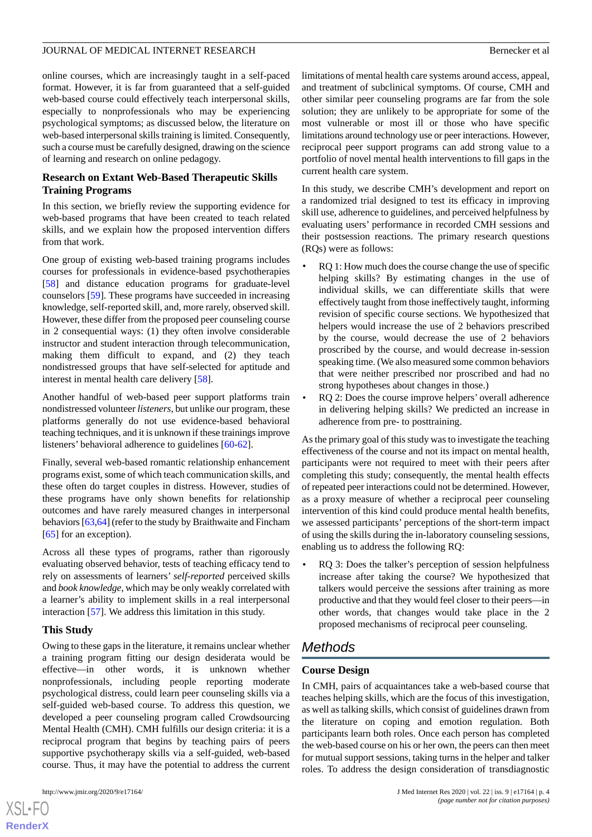online courses, which are increasingly taught in a self-paced format. However, it is far from guaranteed that a self-guided web-based course could effectively teach interpersonal skills, especially to nonprofessionals who may be experiencing psychological symptoms; as discussed below, the literature on web-based interpersonal skills training is limited. Consequently, such a course must be carefully designed, drawing on the science of learning and research on online pedagogy.

# **Research on Extant Web-Based Therapeutic Skills Training Programs**

In this section, we briefly review the supporting evidence for web-based programs that have been created to teach related skills, and we explain how the proposed intervention differs from that work.

One group of existing web-based training programs includes courses for professionals in evidence-based psychotherapies [[58\]](#page-18-11) and distance education programs for graduate-level counselors [\[59](#page-18-12)]. These programs have succeeded in increasing knowledge, self-reported skill, and, more rarely, observed skill. However, these differ from the proposed peer counseling course in 2 consequential ways: (1) they often involve considerable instructor and student interaction through telecommunication, making them difficult to expand, and (2) they teach nondistressed groups that have self-selected for aptitude and interest in mental health care delivery [[58\]](#page-18-11).

Another handful of web-based peer support platforms train nondistressed volunteer *listeners*, but unlike our program, these platforms generally do not use evidence-based behavioral teaching techniques, and it is unknown if these trainings improve listeners' behavioral adherence to guidelines [[60-](#page-18-13)[62](#page-18-14)].

Finally, several web-based romantic relationship enhancement programs exist, some of which teach communication skills, and these often do target couples in distress. However, studies of these programs have only shown benefits for relationship outcomes and have rarely measured changes in interpersonal behaviors [\[63](#page-18-15),[64](#page-18-16)] (refer to the study by Braithwaite and Fincham [[65\]](#page-18-17) for an exception).

Across all these types of programs, rather than rigorously evaluating observed behavior, tests of teaching efficacy tend to rely on assessments of learners' *self-reported* perceived skills and *book knowledge*, which may be only weakly correlated with a learner's ability to implement skills in a real interpersonal interaction [\[57](#page-18-10)]. We address this limitation in this study.

# **This Study**

Owing to these gaps in the literature, it remains unclear whether a training program fitting our design desiderata would be effective—in other words, it is unknown whether nonprofessionals, including people reporting moderate psychological distress, could learn peer counseling skills via a self-guided web-based course. To address this question, we developed a peer counseling program called Crowdsourcing Mental Health (CMH). CMH fulfills our design criteria: it is a reciprocal program that begins by teaching pairs of peers supportive psychotherapy skills via a self-guided, web-based course. Thus, it may have the potential to address the current

 $XS$  $\cdot$ FC **[RenderX](http://www.renderx.com/)** limitations of mental health care systems around access, appeal, and treatment of subclinical symptoms. Of course, CMH and other similar peer counseling programs are far from the sole solution; they are unlikely to be appropriate for some of the most vulnerable or most ill or those who have specific limitations around technology use or peer interactions. However, reciprocal peer support programs can add strong value to a portfolio of novel mental health interventions to fill gaps in the current health care system.

In this study, we describe CMH's development and report on a randomized trial designed to test its efficacy in improving skill use, adherence to guidelines, and perceived helpfulness by evaluating users' performance in recorded CMH sessions and their postsession reactions. The primary research questions (RQs) were as follows:

- RQ 1: How much does the course change the use of specific helping skills? By estimating changes in the use of individual skills, we can differentiate skills that were effectively taught from those ineffectively taught, informing revision of specific course sections. We hypothesized that helpers would increase the use of 2 behaviors prescribed by the course, would decrease the use of 2 behaviors proscribed by the course, and would decrease in-session speaking time. (We also measured some common behaviors that were neither prescribed nor proscribed and had no strong hypotheses about changes in those.)
- RO 2: Does the course improve helpers' overall adherence in delivering helping skills? We predicted an increase in adherence from pre- to posttraining.

As the primary goal of this study was to investigate the teaching effectiveness of the course and not its impact on mental health, participants were not required to meet with their peers after completing this study; consequently, the mental health effects of repeated peer interactions could not be determined. However, as a proxy measure of whether a reciprocal peer counseling intervention of this kind could produce mental health benefits, we assessed participants' perceptions of the short-term impact of using the skills during the in-laboratory counseling sessions, enabling us to address the following RQ:

• RQ 3: Does the talker's perception of session helpfulness increase after taking the course? We hypothesized that talkers would perceive the sessions after training as more productive and that they would feel closer to their peers—in other words, that changes would take place in the 2 proposed mechanisms of reciprocal peer counseling.

# *Methods*

# **Course Design**

In CMH, pairs of acquaintances take a web-based course that teaches helping skills, which are the focus of this investigation, as well as talking skills, which consist of guidelines drawn from the literature on coping and emotion regulation. Both participants learn both roles. Once each person has completed the web-based course on his or her own, the peers can then meet for mutual support sessions, taking turns in the helper and talker roles. To address the design consideration of transdiagnostic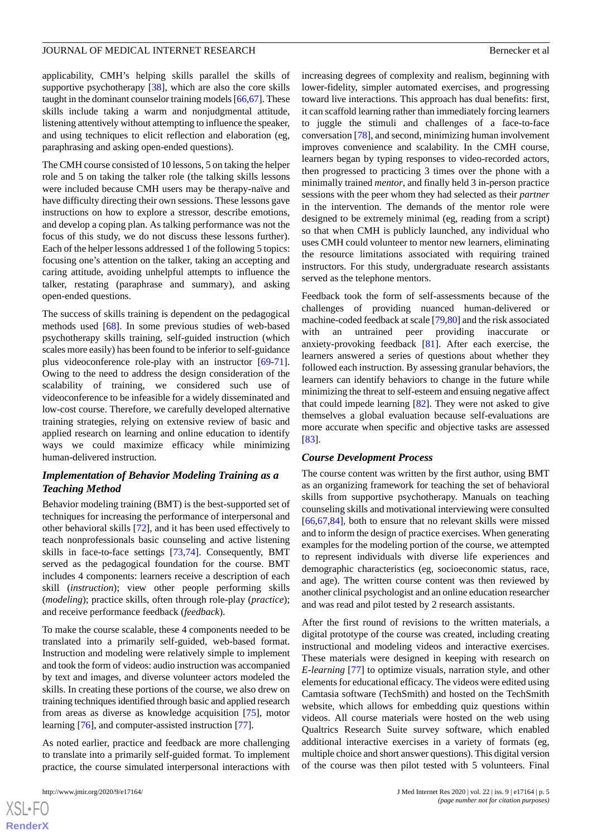applicability, CMH's helping skills parallel the skills of supportive psychotherapy [\[38](#page-17-14)], which are also the core skills taught in the dominant counselor training models [\[66](#page-18-18),[67](#page-18-19)]. These skills include taking a warm and nonjudgmental attitude, listening attentively without attempting to influence the speaker, and using techniques to elicit reflection and elaboration (eg, paraphrasing and asking open-ended questions).

The CMH course consisted of 10 lessons, 5 on taking the helper role and 5 on taking the talker role (the talking skills lessons were included because CMH users may be therapy-naïve and have difficulty directing their own sessions. These lessons gave instructions on how to explore a stressor, describe emotions, and develop a coping plan. As talking performance was not the focus of this study, we do not discuss these lessons further). Each of the helper lessons addressed 1 of the following 5 topics: focusing one's attention on the talker, taking an accepting and caring attitude, avoiding unhelpful attempts to influence the talker, restating (paraphrase and summary), and asking open-ended questions.

The success of skills training is dependent on the pedagogical methods used [[68\]](#page-18-20). In some previous studies of web-based psychotherapy skills training, self-guided instruction (which scales more easily) has been found to be inferior to self-guidance plus videoconference role-play with an instructor [\[69](#page-19-0)-[71\]](#page-19-1). Owing to the need to address the design consideration of the scalability of training, we considered such use of videoconference to be infeasible for a widely disseminated and low-cost course. Therefore, we carefully developed alternative training strategies, relying on extensive review of basic and applied research on learning and online education to identify ways we could maximize efficacy while minimizing human-delivered instruction.

# *Implementation of Behavior Modeling Training as a Teaching Method*

Behavior modeling training (BMT) is the best-supported set of techniques for increasing the performance of interpersonal and other behavioral skills [\[72](#page-19-2)], and it has been used effectively to teach nonprofessionals basic counseling and active listening skills in face-to-face settings [\[73](#page-19-3),[74\]](#page-19-4). Consequently, BMT served as the pedagogical foundation for the course. BMT includes 4 components: learners receive a description of each skill (*instruction*); view other people performing skills (*modeling*); practice skills, often through role-play (*practice*); and receive performance feedback (*feedback*).

To make the course scalable, these 4 components needed to be translated into a primarily self-guided, web-based format. Instruction and modeling were relatively simple to implement and took the form of videos: audio instruction was accompanied by text and images, and diverse volunteer actors modeled the skills. In creating these portions of the course, we also drew on training techniques identified through basic and applied research from areas as diverse as knowledge acquisition [[75\]](#page-19-5), motor learning [\[76](#page-19-6)], and computer-assisted instruction [[77\]](#page-19-7).

As noted earlier, practice and feedback are more challenging to translate into a primarily self-guided format. To implement practice, the course simulated interpersonal interactions with

 $XS$ -FO **[RenderX](http://www.renderx.com/)** increasing degrees of complexity and realism, beginning with lower-fidelity, simpler automated exercises, and progressing toward live interactions. This approach has dual benefits: first, it can scaffold learning rather than immediately forcing learners to juggle the stimuli and challenges of a face-to-face conversation [[78\]](#page-19-8), and second, minimizing human involvement improves convenience and scalability. In the CMH course, learners began by typing responses to video-recorded actors, then progressed to practicing 3 times over the phone with a minimally trained *mentor*, and finally held 3 in-person practice sessions with the peer whom they had selected as their *partner* in the intervention. The demands of the mentor role were designed to be extremely minimal (eg, reading from a script) so that when CMH is publicly launched, any individual who uses CMH could volunteer to mentor new learners, eliminating the resource limitations associated with requiring trained instructors. For this study, undergraduate research assistants served as the telephone mentors.

Feedback took the form of self-assessments because of the challenges of providing nuanced human-delivered or machine-coded feedback at scale [[79,](#page-19-9)[80\]](#page-19-10) and the risk associated with an untrained peer providing inaccurate or anxiety-provoking feedback [[81\]](#page-19-11). After each exercise, the learners answered a series of questions about whether they followed each instruction. By assessing granular behaviors, the learners can identify behaviors to change in the future while minimizing the threat to self-esteem and ensuing negative affect that could impede learning  $[82]$  $[82]$ . They were not asked to give themselves a global evaluation because self-evaluations are more accurate when specific and objective tasks are assessed [[83\]](#page-19-13).

## *Course Development Process*

The course content was written by the first author, using BMT as an organizing framework for teaching the set of behavioral skills from supportive psychotherapy. Manuals on teaching counseling skills and motivational interviewing were consulted [[66,](#page-18-18)[67,](#page-18-19)[84\]](#page-19-14), both to ensure that no relevant skills were missed and to inform the design of practice exercises. When generating examples for the modeling portion of the course, we attempted to represent individuals with diverse life experiences and demographic characteristics (eg, socioeconomic status, race, and age). The written course content was then reviewed by another clinical psychologist and an online education researcher and was read and pilot tested by 2 research assistants.

After the first round of revisions to the written materials, a digital prototype of the course was created, including creating instructional and modeling videos and interactive exercises. These materials were designed in keeping with research on *E-learning* [\[77](#page-19-7)] to optimize visuals, narration style, and other elements for educational efficacy. The videos were edited using Camtasia software (TechSmith) and hosted on the TechSmith website, which allows for embedding quiz questions within videos. All course materials were hosted on the web using Qualtrics Research Suite survey software, which enabled additional interactive exercises in a variety of formats (eg, multiple choice and short answer questions). This digital version of the course was then pilot tested with 5 volunteers. Final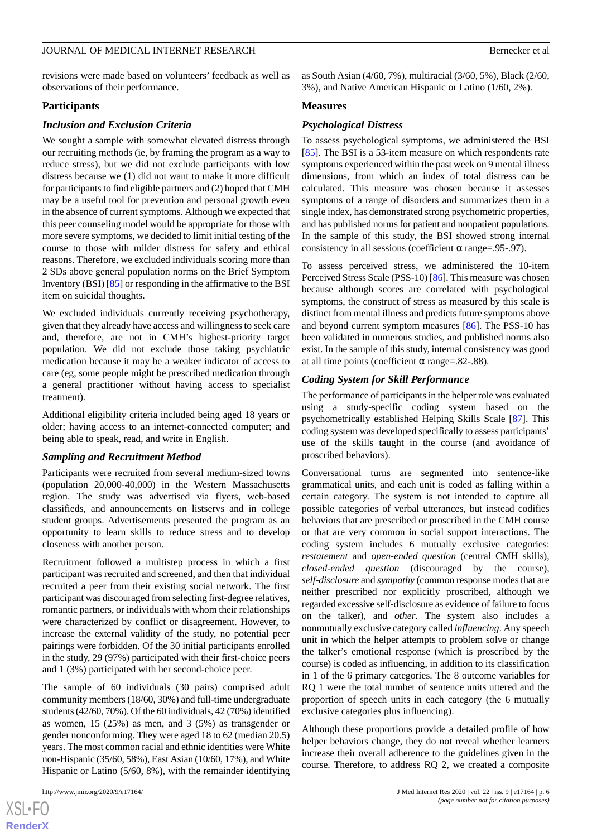revisions were made based on volunteers' feedback as well as observations of their performance.

## **Participants**

#### *Inclusion and Exclusion Criteria*

We sought a sample with somewhat elevated distress through our recruiting methods (ie, by framing the program as a way to reduce stress), but we did not exclude participants with low distress because we (1) did not want to make it more difficult for participants to find eligible partners and (2) hoped that CMH may be a useful tool for prevention and personal growth even in the absence of current symptoms. Although we expected that this peer counseling model would be appropriate for those with more severe symptoms, we decided to limit initial testing of the course to those with milder distress for safety and ethical reasons. Therefore, we excluded individuals scoring more than 2 SDs above general population norms on the Brief Symptom Inventory (BSI) [\[85](#page-19-15)] or responding in the affirmative to the BSI item on suicidal thoughts.

We excluded individuals currently receiving psychotherapy, given that they already have access and willingness to seek care and, therefore, are not in CMH's highest-priority target population. We did not exclude those taking psychiatric medication because it may be a weaker indicator of access to care (eg, some people might be prescribed medication through a general practitioner without having access to specialist treatment).

Additional eligibility criteria included being aged 18 years or older; having access to an internet-connected computer; and being able to speak, read, and write in English.

## *Sampling and Recruitment Method*

Participants were recruited from several medium-sized towns (population 20,000-40,000) in the Western Massachusetts region. The study was advertised via flyers, web-based classifieds, and announcements on listservs and in college student groups. Advertisements presented the program as an opportunity to learn skills to reduce stress and to develop closeness with another person.

Recruitment followed a multistep process in which a first participant was recruited and screened, and then that individual recruited a peer from their existing social network. The first participant was discouraged from selecting first-degree relatives, romantic partners, or individuals with whom their relationships were characterized by conflict or disagreement. However, to increase the external validity of the study, no potential peer pairings were forbidden. Of the 30 initial participants enrolled in the study, 29 (97%) participated with their first-choice peers and 1 (3%) participated with her second-choice peer.

The sample of 60 individuals (30 pairs) comprised adult community members (18/60, 30%) and full-time undergraduate students (42/60, 70%). Of the 60 individuals, 42 (70%) identified as women, 15 (25%) as men, and 3 (5%) as transgender or gender nonconforming. They were aged 18 to 62 (median 20.5) years. The most common racial and ethnic identities were White non-Hispanic (35/60, 58%), East Asian (10/60, 17%), and White Hispanic or Latino (5/60, 8%), with the remainder identifying

as South Asian (4/60, 7%), multiracial (3/60, 5%), Black (2/60, 3%), and Native American Hispanic or Latino (1/60, 2%).

## **Measures**

## *Psychological Distress*

To assess psychological symptoms, we administered the BSI [[85\]](#page-19-15). The BSI is a 53-item measure on which respondents rate symptoms experienced within the past week on 9 mental illness dimensions, from which an index of total distress can be calculated. This measure was chosen because it assesses symptoms of a range of disorders and summarizes them in a single index, has demonstrated strong psychometric properties, and has published norms for patient and nonpatient populations. In the sample of this study, the BSI showed strong internal consistency in all sessions (coefficient  $\alpha$  range=.95-.97).

To assess perceived stress, we administered the 10-item Perceived Stress Scale (PSS-10) [\[86](#page-19-16)]. This measure was chosen because although scores are correlated with psychological symptoms, the construct of stress as measured by this scale is distinct from mental illness and predicts future symptoms above and beyond current symptom measures [[86\]](#page-19-16). The PSS-10 has been validated in numerous studies, and published norms also exist. In the sample of this study, internal consistency was good at all time points (coefficient α range= $.82-.88$ ).

## *Coding System for Skill Performance*

The performance of participants in the helper role was evaluated using a study-specific coding system based on the psychometrically established Helping Skills Scale [\[87](#page-19-17)]. This coding system was developed specifically to assess participants' use of the skills taught in the course (and avoidance of proscribed behaviors).

Conversational turns are segmented into sentence-like grammatical units, and each unit is coded as falling within a certain category. The system is not intended to capture all possible categories of verbal utterances, but instead codifies behaviors that are prescribed or proscribed in the CMH course or that are very common in social support interactions. The coding system includes 6 mutually exclusive categories: *restatement* and *open-ended question* (central CMH skills), *closed-ended question* (discouraged by the course), *self-disclosure* and *sympathy* (common response modes that are neither prescribed nor explicitly proscribed, although we regarded excessive self-disclosure as evidence of failure to focus on the talker), and *other*. The system also includes a nonmutually exclusive category called *influencing*. Any speech unit in which the helper attempts to problem solve or change the talker's emotional response (which is proscribed by the course) is coded as influencing, in addition to its classification in 1 of the 6 primary categories. The 8 outcome variables for RQ 1 were the total number of sentence units uttered and the proportion of speech units in each category (the 6 mutually exclusive categories plus influencing).

Although these proportions provide a detailed profile of how helper behaviors change, they do not reveal whether learners increase their overall adherence to the guidelines given in the course. Therefore, to address RQ 2, we created a composite

 $XS$ -FO **[RenderX](http://www.renderx.com/)**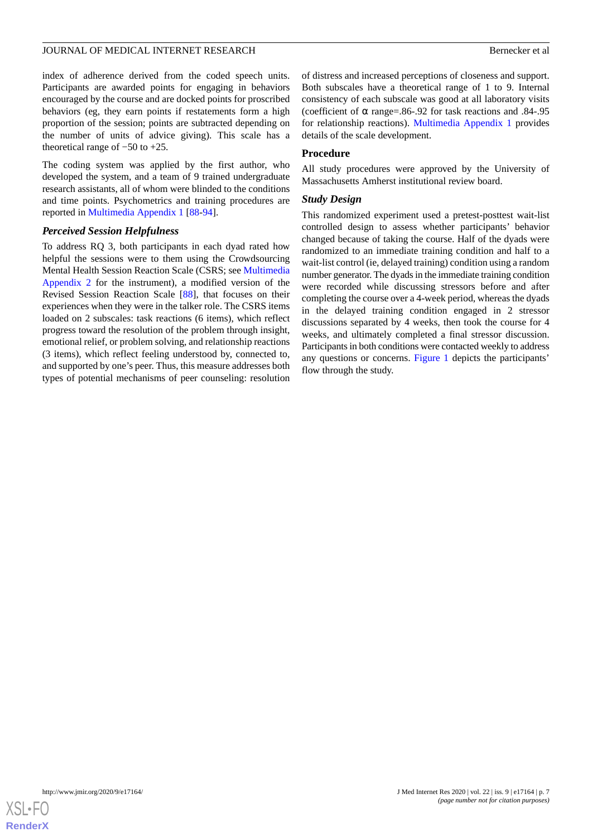index of adherence derived from the coded speech units. Participants are awarded points for engaging in behaviors encouraged by the course and are docked points for proscribed behaviors (eg, they earn points if restatements form a high proportion of the session; points are subtracted depending on the number of units of advice giving). This scale has a theoretical range of −50 to +25.

The coding system was applied by the first author, who developed the system, and a team of 9 trained undergraduate research assistants, all of whom were blinded to the conditions and time points. Psychometrics and training procedures are reported in [Multimedia Appendix 1](#page-15-0) [[88-](#page-19-18)[94\]](#page-19-19).

## *Perceived Session Helpfulness*

To address RQ 3, both participants in each dyad rated how helpful the sessions were to them using the Crowdsourcing Mental Health Session Reaction Scale (CSRS; see [Multimedia](#page-15-1) [Appendix 2](#page-15-1) for the instrument), a modified version of the Revised Session Reaction Scale [\[88](#page-19-18)], that focuses on their experiences when they were in the talker role. The CSRS items loaded on 2 subscales: task reactions (6 items), which reflect progress toward the resolution of the problem through insight, emotional relief, or problem solving, and relationship reactions (3 items), which reflect feeling understood by, connected to, and supported by one's peer. Thus, this measure addresses both types of potential mechanisms of peer counseling: resolution

of distress and increased perceptions of closeness and support. Both subscales have a theoretical range of 1 to 9. Internal consistency of each subscale was good at all laboratory visits (coefficient of  $\alpha$  range=.86-.92 for task reactions and .84-.95 for relationship reactions). [Multimedia Appendix 1](#page-15-0) provides details of the scale development.

## **Procedure**

All study procedures were approved by the University of Massachusetts Amherst institutional review board.

## *Study Design*

This randomized experiment used a pretest-posttest wait-list controlled design to assess whether participants' behavior changed because of taking the course. Half of the dyads were randomized to an immediate training condition and half to a wait-list control (ie, delayed training) condition using a random number generator. The dyads in the immediate training condition were recorded while discussing stressors before and after completing the course over a 4-week period, whereas the dyads in the delayed training condition engaged in 2 stressor discussions separated by 4 weeks, then took the course for 4 weeks, and ultimately completed a final stressor discussion. Participants in both conditions were contacted weekly to address any questions or concerns. [Figure 1](#page-7-0) depicts the participants' flow through the study.

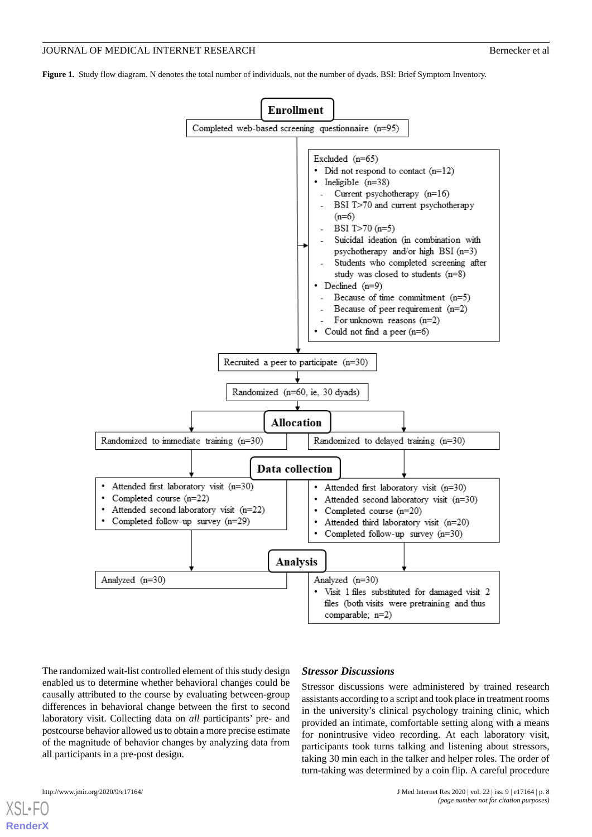<span id="page-7-0"></span>**Figure 1.** Study flow diagram. N denotes the total number of individuals, not the number of dyads. BSI: Brief Symptom Inventory.



The randomized wait-list controlled element of this study design enabled us to determine whether behavioral changes could be causally attributed to the course by evaluating between-group differences in behavioral change between the first to second laboratory visit. Collecting data on *all* participants' pre- and postcourse behavior allowed us to obtain a more precise estimate of the magnitude of behavior changes by analyzing data from all participants in a pre-post design.

## *Stressor Discussions*

Stressor discussions were administered by trained research assistants according to a script and took place in treatment rooms in the university's clinical psychology training clinic, which provided an intimate, comfortable setting along with a means for nonintrusive video recording. At each laboratory visit, participants took turns talking and listening about stressors, taking 30 min each in the talker and helper roles. The order of turn-taking was determined by a coin flip. A careful procedure

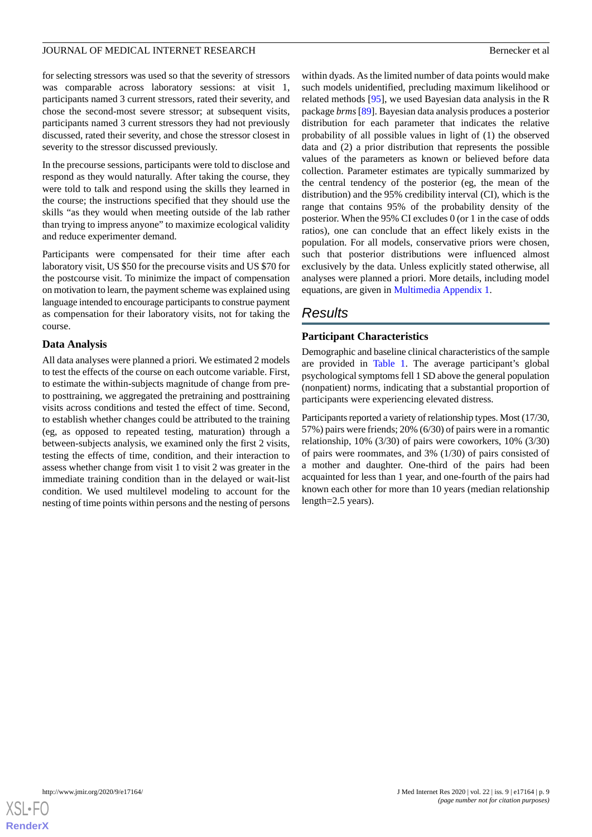for selecting stressors was used so that the severity of stressors was comparable across laboratory sessions: at visit 1, participants named 3 current stressors, rated their severity, and chose the second-most severe stressor; at subsequent visits, participants named 3 current stressors they had not previously discussed, rated their severity, and chose the stressor closest in severity to the stressor discussed previously.

In the precourse sessions, participants were told to disclose and respond as they would naturally. After taking the course, they were told to talk and respond using the skills they learned in the course; the instructions specified that they should use the skills "as they would when meeting outside of the lab rather than trying to impress anyone" to maximize ecological validity and reduce experimenter demand.

Participants were compensated for their time after each laboratory visit, US \$50 for the precourse visits and US \$70 for the postcourse visit. To minimize the impact of compensation on motivation to learn, the payment scheme was explained using language intended to encourage participants to construe payment as compensation for their laboratory visits, not for taking the course.

# **Data Analysis**

All data analyses were planned a priori*.* We estimated 2 models to test the effects of the course on each outcome variable. First, to estimate the within-subjects magnitude of change from preto posttraining, we aggregated the pretraining and posttraining visits across conditions and tested the effect of time. Second, to establish whether changes could be attributed to the training (eg, as opposed to repeated testing, maturation) through a between-subjects analysis, we examined only the first 2 visits, testing the effects of time, condition, and their interaction to assess whether change from visit 1 to visit 2 was greater in the immediate training condition than in the delayed or wait-list condition. We used multilevel modeling to account for the nesting of time points within persons and the nesting of persons

within dyads. As the limited number of data points would make such models unidentified, precluding maximum likelihood or related methods [\[95](#page-19-20)], we used Bayesian data analysis in the R package *brms* [[89\]](#page-19-21). Bayesian data analysis produces a posterior distribution for each parameter that indicates the relative probability of all possible values in light of (1) the observed data and (2) a prior distribution that represents the possible values of the parameters as known or believed before data collection. Parameter estimates are typically summarized by the central tendency of the posterior (eg, the mean of the distribution) and the 95% credibility interval (CI), which is the range that contains 95% of the probability density of the posterior. When the 95% CI excludes 0 (or 1 in the case of odds ratios), one can conclude that an effect likely exists in the population. For all models, conservative priors were chosen, such that posterior distributions were influenced almost exclusively by the data. Unless explicitly stated otherwise, all analyses were planned a priori. More details, including model equations, are given in [Multimedia Appendix 1](#page-15-0).

# *Results*

# **Participant Characteristics**

Demographic and baseline clinical characteristics of the sample are provided in [Table 1.](#page-9-0) The average participant's global psychological symptoms fell 1 SD above the general population (nonpatient) norms, indicating that a substantial proportion of participants were experiencing elevated distress.

Participants reported a variety of relationship types. Most (17/30, 57%) pairs were friends; 20% (6/30) of pairs were in a romantic relationship, 10% (3/30) of pairs were coworkers, 10% (3/30) of pairs were roommates, and 3% (1/30) of pairs consisted of a mother and daughter. One-third of the pairs had been acquainted for less than 1 year, and one-fourth of the pairs had known each other for more than 10 years (median relationship length=2.5 years).

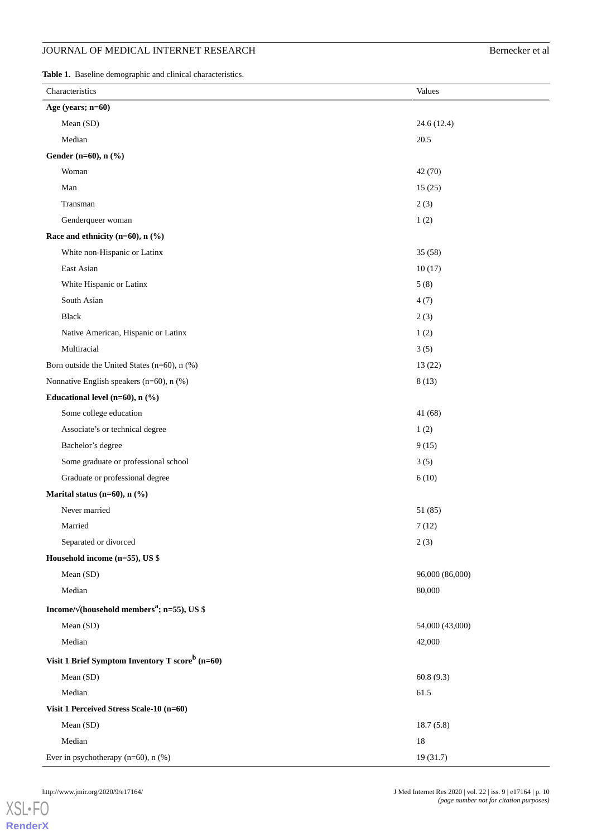# JOURNAL OF MEDICAL INTERNET RESEARCH Bernecker et al

<span id="page-9-0"></span>**Table 1.** Baseline demographic and clinical characteristics.

| Characteristics                                                             | Values          |  |
|-----------------------------------------------------------------------------|-----------------|--|
| Age (years; n=60)                                                           |                 |  |
| Mean (SD)                                                                   | 24.6 (12.4)     |  |
| Median                                                                      | 20.5            |  |
| Gender (n=60), n (%)                                                        |                 |  |
| Woman                                                                       | 42 (70)         |  |
| Man                                                                         | 15(25)          |  |
| Transman                                                                    | 2(3)            |  |
| Genderqueer woman                                                           | 1(2)            |  |
| Race and ethnicity ( $n=60$ ), $n$ (%)                                      |                 |  |
| White non-Hispanic or Latinx                                                | 35(58)          |  |
| East Asian                                                                  | 10(17)          |  |
| White Hispanic or Latinx                                                    | 5(8)            |  |
| South Asian                                                                 | 4(7)            |  |
| <b>Black</b>                                                                | 2(3)            |  |
| Native American, Hispanic or Latinx                                         | 1(2)            |  |
| Multiracial                                                                 | 3(5)            |  |
| Born outside the United States (n=60), n (%)                                | 13(22)          |  |
| Nonnative English speakers (n=60), n (%)                                    | 8(13)           |  |
| Educational level (n=60), $n$ (%)                                           |                 |  |
| Some college education                                                      | 41(68)          |  |
| Associate's or technical degree                                             | 1(2)            |  |
| Bachelor's degree                                                           | 9(15)           |  |
| Some graduate or professional school                                        | 3(5)            |  |
| Graduate or professional degree                                             | 6(10)           |  |
| Marital status (n=60), $n$ (%)                                              |                 |  |
| Never married                                                               | 51 (85)         |  |
| Married                                                                     | 7(12)           |  |
| Separated or divorced                                                       | 2(3)            |  |
| Household income (n=55), US \$                                              |                 |  |
| Mean (SD)                                                                   | 96,000 (86,000) |  |
| Median                                                                      | 80,000          |  |
| Income/ $\sqrt{\frac{1}{6}}$ (household members <sup>a</sup> ; n=55), US \$ |                 |  |
| Mean (SD)                                                                   | 54,000 (43,000) |  |
| Median                                                                      | 42,000          |  |
| Visit 1 Brief Symptom Inventory T score <sup>b</sup> (n=60)                 |                 |  |
| Mean (SD)                                                                   | 60.8(9.3)       |  |
| Median                                                                      | 61.5            |  |
| Visit 1 Perceived Stress Scale-10 (n=60)                                    |                 |  |
| Mean (SD)                                                                   | 18.7(5.8)       |  |
| Median                                                                      | $18\,$          |  |
| Ever in psychotherapy $(n=60)$ , n $(\%)$                                   | 19 (31.7)       |  |

[XSL](http://www.w3.org/Style/XSL)•FO **[RenderX](http://www.renderx.com/)**

http://www.jmir.org/2020/9/e17164/ J Med Internet Res 2020 | vol. 22 | iss. 9 | e17164 | p. 10 *(page number not for citation purposes)*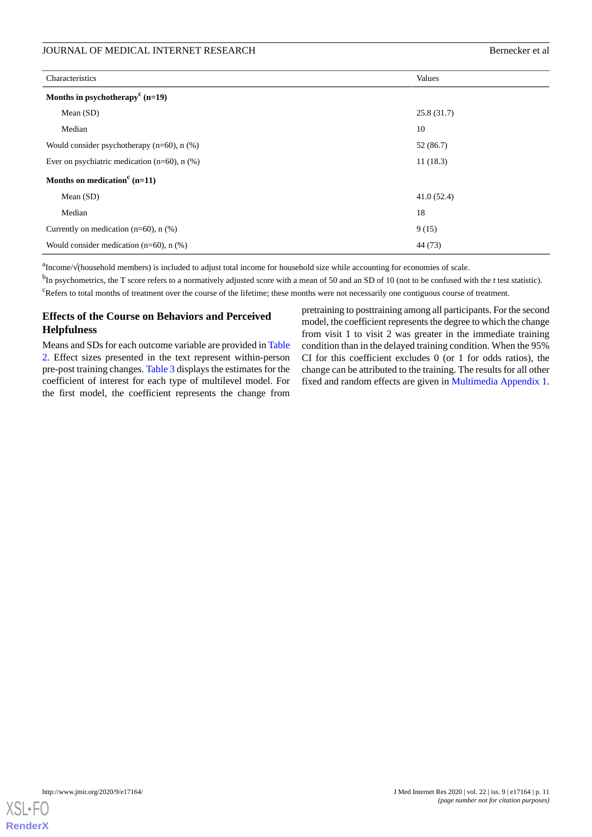# JOURNAL OF MEDICAL INTERNET RESEARCH BETTER AND THE SERIES OF MEDICAL INTERNET RESEARCH

| Characteristics                                                | Values     |
|----------------------------------------------------------------|------------|
| Months in psychotherapy <sup>c</sup> (n=19)                    |            |
| Mean $(SD)$                                                    | 25.8(31.7) |
| Median                                                         | 10         |
| Would consider psychotherapy $(n=60)$ , n $(\%)$               | 52 (86.7)  |
| Ever on psychiatric medication $(n=60)$ , n $(\%)$<br>11(18.3) |            |
| Months on medication <sup>c</sup> (n=11)                       |            |
| Mean $(SD)$                                                    | 41.0(52.4) |
| Median                                                         | 18         |
| Currently on medication $(n=60)$ , n $(\%)$                    | 9(15)      |
| Would consider medication $(n=60)$ , n $(\%)$                  | 44 (73)    |

<sup>a</sup>Income/√(household members) is included to adjust total income for household size while accounting for economies of scale.

b In psychometrics, the T score refers to a normatively adjusted score with a mean of 50 and an SD of 10 (not to be confused with the *t* test statistic). <sup>c</sup>Refers to total months of treatment over the course of the lifetime; these months were not necessarily one contiguous course of treatment.

# **Effects of the Course on Behaviors and Perceived Helpfulness**

Means and SDs for each outcome variable are provided in [Table](#page-11-0) [2.](#page-11-0) Effect sizes presented in the text represent within-person pre-post training changes. [Table 3](#page-12-0) displays the estimates for the coefficient of interest for each type of multilevel model. For the first model, the coefficient represents the change from

pretraining to posttraining among all participants. For the second model, the coefficient represents the degree to which the change from visit 1 to visit 2 was greater in the immediate training condition than in the delayed training condition. When the 95% CI for this coefficient excludes  $0$  (or 1 for odds ratios), the change can be attributed to the training. The results for all other fixed and random effects are given in [Multimedia Appendix 1](#page-15-0).

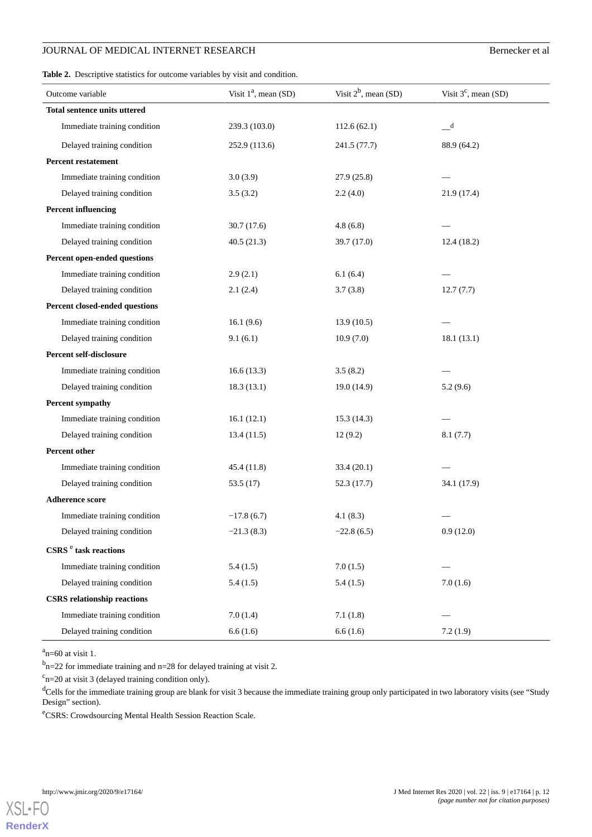# JOURNAL OF MEDICAL INTERNET RESEARCH BERNECKER BERNET BERNET RESEARCH

<span id="page-11-0"></span>Table 2. Descriptive statistics for outcome variables by visit and condition.

| Outcome variable                             | Visit $1^a$ , mean (SD) | Visit $2^b$ , mean (SD) | Visit $3^c$ , mean (SD)    |
|----------------------------------------------|-------------------------|-------------------------|----------------------------|
| <b>Total sentence units uttered</b>          |                         |                         |                            |
| Immediate training condition                 | 239.3 (103.0)           | 112.6(62.1)             | $\overline{\phantom{a}}^d$ |
| Delayed training condition                   | 252.9 (113.6)           | 241.5 (77.7)            | 88.9 (64.2)                |
| <b>Percent restatement</b>                   |                         |                         |                            |
| Immediate training condition                 | 3.0(3.9)                | 27.9(25.8)              |                            |
| Delayed training condition                   | 3.5(3.2)                | 2.2(4.0)                | 21.9 (17.4)                |
| <b>Percent influencing</b>                   |                         |                         |                            |
| Immediate training condition                 | 30.7(17.6)              | 4.8(6.8)                |                            |
| Delayed training condition                   | 40.5(21.3)              | 39.7 (17.0)             | 12.4(18.2)                 |
| Percent open-ended questions                 |                         |                         |                            |
| Immediate training condition                 | 2.9(2.1)                | 6.1(6.4)                |                            |
| Delayed training condition                   | 2.1(2.4)                | 3.7(3.8)                | 12.7(7.7)                  |
| Percent closed-ended questions               |                         |                         |                            |
| Immediate training condition                 | 16.1(9.6)               | 13.9(10.5)              |                            |
| Delayed training condition                   | 9.1(6.1)                | 10.9(7.0)               | 18.1(13.1)                 |
| Percent self-disclosure                      |                         |                         |                            |
| Immediate training condition                 | 16.6(13.3)              | 3.5(8.2)                |                            |
| Delayed training condition                   | 18.3(13.1)              | 19.0(14.9)              | 5.2(9.6)                   |
| <b>Percent sympathy</b>                      |                         |                         |                            |
| Immediate training condition                 | 16.1(12.1)              | 15.3(14.3)              |                            |
| Delayed training condition                   | 13.4(11.5)              | 12(9.2)                 | 8.1(7.7)                   |
| Percent other                                |                         |                         |                            |
| Immediate training condition                 | 45.4 (11.8)             | 33.4(20.1)              |                            |
| Delayed training condition                   | 53.5 $(17)$             | 52.3(17.7)              | 34.1 (17.9)                |
| <b>Adherence score</b>                       |                         |                         |                            |
| Immediate training condition                 | $-17.8(6.7)$            | 4.1(8.3)                |                            |
| Delayed training condition                   | $-21.3(8.3)$            | $-22.8(6.5)$            | 0.9(12.0)                  |
| $\mathbf{CSRS}$ $\mathrm{^e}$ task reactions |                         |                         |                            |
| Immediate training condition                 | 5.4(1.5)                | 7.0(1.5)                |                            |
| Delayed training condition                   | 5.4(1.5)                | 5.4(1.5)                | 7.0(1.6)                   |
| <b>CSRS</b> relationship reactions           |                         |                         |                            |
| Immediate training condition                 | 7.0(1.4)                | 7.1(1.8)                |                            |
| Delayed training condition                   | 6.6(1.6)                | 6.6(1.6)                | 7.2(1.9)                   |

 $a_{\text{n=60}}$  at visit 1.

 $<sup>b</sup>n=22$  for immediate training and n=28 for delayed training at visit 2.</sup>

 $c$ n=20 at visit 3 (delayed training condition only).

dCells for the immediate training group are blank for visit 3 because the immediate training group only participated in two laboratory visits (see "Study Design" section).

<sup>e</sup>CSRS: Crowdsourcing Mental Health Session Reaction Scale.

**[RenderX](http://www.renderx.com/)**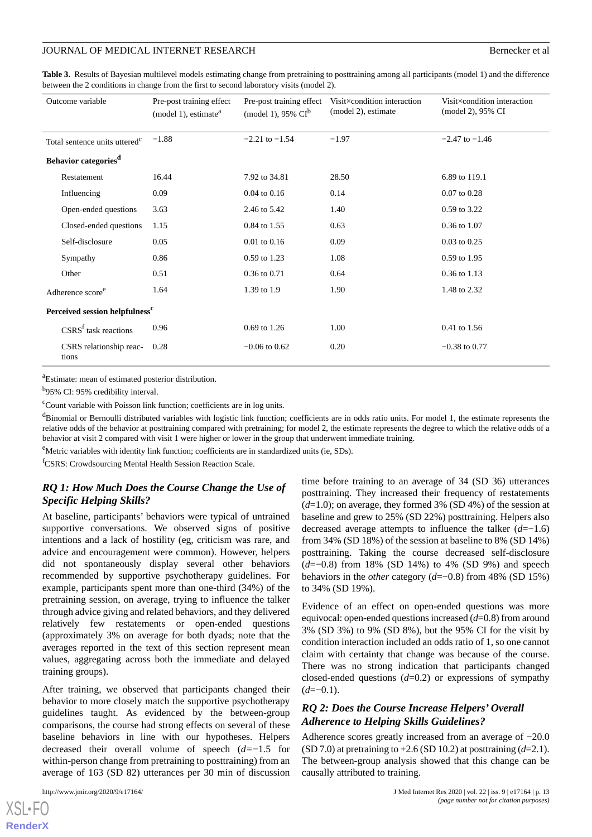<span id="page-12-0"></span>**Table 3.** Results of Bayesian multilevel models estimating change from pretraining to posttraining among all participants (model 1) and the difference between the 2 conditions in change from the first to second laboratory visits (model 2).

| Outcome variable                           | Pre-post training effect<br>(model 1), estimate <sup>a</sup> | Pre-post training effect<br>(model 1), 95% $CI^b$ | Visit×condition interaction<br>(model 2), estimate | Visit×condition interaction<br>(model 2), 95% CI |
|--------------------------------------------|--------------------------------------------------------------|---------------------------------------------------|----------------------------------------------------|--------------------------------------------------|
| Total sentence units uttered <sup>c</sup>  | $-1.88$                                                      | $-2.21$ to $-1.54$                                | $-1.97$                                            | $-2.47$ to $-1.46$                               |
| Behavior categories <sup>d</sup>           |                                                              |                                                   |                                                    |                                                  |
| Restatement                                | 16.44                                                        | 7.92 to 34.81                                     | 28.50                                              | 6.89 to 119.1                                    |
| Influencing                                | 0.09                                                         | $0.04$ to $0.16$                                  | 0.14                                               | $0.07$ to $0.28$                                 |
| Open-ended questions                       | 3.63                                                         | 2.46 to 5.42                                      | 1.40                                               | 0.59 to 3.22                                     |
| Closed-ended questions                     | 1.15                                                         | 0.84 to 1.55                                      | 0.63                                               | 0.36 to 1.07                                     |
| Self-disclosure                            | 0.05                                                         | $0.01$ to $0.16$                                  | 0.09                                               | $0.03$ to $0.25$                                 |
| Sympathy                                   | 0.86                                                         | 0.59 to 1.23                                      | 1.08                                               | 0.59 to 1.95                                     |
| Other                                      | 0.51                                                         | 0.36 to 0.71                                      | 0.64                                               | 0.36 to 1.13                                     |
| Adherence score <sup>e</sup>               | 1.64                                                         | 1.39 to 1.9                                       | 1.90                                               | 1.48 to 2.32                                     |
| Perceived session helpfulness <sup>c</sup> |                                                              |                                                   |                                                    |                                                  |
| $CSRSf$ task reactions                     | 0.96                                                         | 0.69 to 1.26                                      | 1.00                                               | 0.41 to 1.56                                     |
| CSRS relationship reac-<br>tions           | 0.28                                                         | $-0.06$ to $0.62$                                 | 0.20                                               | $-0.38$ to 0.77                                  |

<sup>a</sup>Estimate: mean of estimated posterior distribution.

<sup>b</sup>95% CI: 95% credibility interval.

 $\rm c$ Count variable with Poisson link function; coefficients are in log units.

<sup>d</sup>Binomial or Bernoulli distributed variables with logistic link function; coefficients are in odds ratio units. For model 1, the estimate represents the relative odds of the behavior at posttraining compared with pretraining; for model 2, the estimate represents the degree to which the relative odds of a behavior at visit 2 compared with visit 1 were higher or lower in the group that underwent immediate training.

eMetric variables with identity link function; coefficients are in standardized units (ie, SDs).

<sup>f</sup>CSRS: Crowdsourcing Mental Health Session Reaction Scale.

# *RQ 1: How Much Does the Course Change the Use of Specific Helping Skills?*

At baseline, participants' behaviors were typical of untrained supportive conversations. We observed signs of positive intentions and a lack of hostility (eg, criticism was rare, and advice and encouragement were common). However, helpers did not spontaneously display several other behaviors recommended by supportive psychotherapy guidelines. For example, participants spent more than one-third (34%) of the pretraining session, on average, trying to influence the talker through advice giving and related behaviors, and they delivered relatively few restatements or open-ended questions (approximately 3% on average for both dyads; note that the averages reported in the text of this section represent mean values, aggregating across both the immediate and delayed training groups).

After training, we observed that participants changed their behavior to more closely match the supportive psychotherapy guidelines taught. As evidenced by the between-group comparisons, the course had strong effects on several of these baseline behaviors in line with our hypotheses. Helpers decreased their overall volume of speech (*d=*−1.5 for within-person change from pretraining to posttraining) from an average of 163 (SD 82) utterances per 30 min of discussion

time before training to an average of 34 (SD 36) utterances posttraining. They increased their frequency of restatements (*d*=1.0); on average, they formed 3% (SD 4%) of the session at baseline and grew to 25% (SD 22%) posttraining. Helpers also decreased average attempts to influence the talker (*d*=−1.6) from 34% (SD 18%) of the session at baseline to 8% (SD 14%) posttraining. Taking the course decreased self-disclosure (*d*=−0.8) from 18% (SD 14%) to 4% (SD 9%) and speech behaviors in the *other* category (*d*=−0.8) from 48% (SD 15%) to 34% (SD 19%).

Evidence of an effect on open-ended questions was more equivocal: open-ended questions increased (*d*=0.8) from around 3% (SD 3%) to 9% (SD 8%), but the 95% CI for the visit by condition interaction included an odds ratio of 1, so one cannot claim with certainty that change was because of the course. There was no strong indication that participants changed closed-ended questions (*d*=0.2) or expressions of sympathy  $(d=-0.1)$ .

# *RQ 2: Does the Course Increase Helpers' Overall Adherence to Helping Skills Guidelines?*

Adherence scores greatly increased from an average of −20.0 (SD 7.0) at pretraining to  $+2.6$  (SD 10.2) at posttraining  $(d=2.1)$ . The between-group analysis showed that this change can be causally attributed to training.

 $XS$ -FO **[RenderX](http://www.renderx.com/)**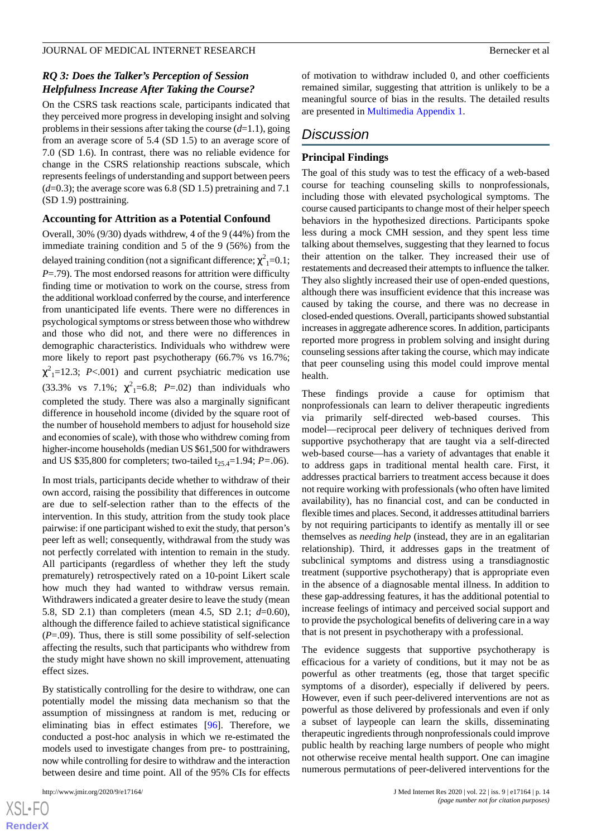# *RQ 3: Does the Talker's Perception of Session Helpfulness Increase After Taking the Course?*

On the CSRS task reactions scale, participants indicated that they perceived more progress in developing insight and solving problems in their sessions after taking the course (*d*=1.1), going from an average score of 5.4 (SD 1.5) to an average score of 7.0 (SD 1.6). In contrast, there was no reliable evidence for change in the CSRS relationship reactions subscale, which represents feelings of understanding and support between peers (*d*=0.3); the average score was 6.8 (SD 1.5) pretraining and 7.1 (SD 1.9) posttraining.

## **Accounting for Attrition as a Potential Confound**

Overall, 30% (9/30) dyads withdrew, 4 of the 9 (44%) from the immediate training condition and 5 of the 9 (56%) from the delayed training condition (not a significant difference;  $\chi^2{}_{\rm 1}$  =0.1; *P*=.79). The most endorsed reasons for attrition were difficulty finding time or motivation to work on the course, stress from the additional workload conferred by the course, and interference from unanticipated life events. There were no differences in psychological symptoms or stress between those who withdrew and those who did not, and there were no differences in demographic characteristics. Individuals who withdrew were more likely to report past psychotherapy (66.7% vs 16.7%;  $\chi^2$ <sub>1</sub>=12.3; *P*<.001) and current psychiatric medication use  $(33.3\% \text{ vs } 7.1\%; \chi^2_{1} = 6.8; P = .02)$  than individuals who completed the study. There was also a marginally significant difference in household income (divided by the square root of the number of household members to adjust for household size and economies of scale), with those who withdrew coming from higher-income households (median US \$61,500 for withdrawers and US \$35,800 for completers; two-tailed  $t_{25,4}=1.94$ ; *P*=.06).

In most trials, participants decide whether to withdraw of their own accord, raising the possibility that differences in outcome are due to self-selection rather than to the effects of the intervention. In this study, attrition from the study took place pairwise: if one participant wished to exit the study, that person's peer left as well; consequently, withdrawal from the study was not perfectly correlated with intention to remain in the study. All participants (regardless of whether they left the study prematurely) retrospectively rated on a 10-point Likert scale how much they had wanted to withdraw versus remain. Withdrawers indicated a greater desire to leave the study (mean 5.8, SD 2.1) than completers (mean 4.5, SD 2.1; *d*=0.60), although the difference failed to achieve statistical significance (*P*=.09). Thus, there is still some possibility of self-selection affecting the results, such that participants who withdrew from the study might have shown no skill improvement, attenuating effect sizes.

By statistically controlling for the desire to withdraw, one can potentially model the missing data mechanism so that the assumption of missingness at random is met, reducing or eliminating bias in effect estimates [[96\]](#page-19-22). Therefore, we conducted a post-hoc analysis in which we re-estimated the models used to investigate changes from pre- to posttraining, now while controlling for desire to withdraw and the interaction between desire and time point. All of the 95% CIs for effects

[XSL](http://www.w3.org/Style/XSL)•FO **[RenderX](http://www.renderx.com/)** of motivation to withdraw included 0, and other coefficients remained similar, suggesting that attrition is unlikely to be a meaningful source of bias in the results. The detailed results are presented in [Multimedia Appendix 1.](#page-15-0)

# *Discussion*

## **Principal Findings**

The goal of this study was to test the efficacy of a web-based course for teaching counseling skills to nonprofessionals, including those with elevated psychological symptoms. The course caused participants to change most of their helper speech behaviors in the hypothesized directions. Participants spoke less during a mock CMH session, and they spent less time talking about themselves, suggesting that they learned to focus their attention on the talker. They increased their use of restatements and decreased their attempts to influence the talker. They also slightly increased their use of open-ended questions, although there was insufficient evidence that this increase was caused by taking the course, and there was no decrease in closed-ended questions. Overall, participants showed substantial increases in aggregate adherence scores. In addition, participants reported more progress in problem solving and insight during counseling sessions after taking the course, which may indicate that peer counseling using this model could improve mental health.

These findings provide a cause for optimism that nonprofessionals can learn to deliver therapeutic ingredients via primarily self-directed web-based courses. This model—reciprocal peer delivery of techniques derived from supportive psychotherapy that are taught via a self-directed web-based course—has a variety of advantages that enable it to address gaps in traditional mental health care. First, it addresses practical barriers to treatment access because it does not require working with professionals (who often have limited availability), has no financial cost, and can be conducted in flexible times and places. Second, it addresses attitudinal barriers by not requiring participants to identify as mentally ill or see themselves as *needing help* (instead, they are in an egalitarian relationship). Third, it addresses gaps in the treatment of subclinical symptoms and distress using a transdiagnostic treatment (supportive psychotherapy) that is appropriate even in the absence of a diagnosable mental illness. In addition to these gap-addressing features, it has the additional potential to increase feelings of intimacy and perceived social support and to provide the psychological benefits of delivering care in a way that is not present in psychotherapy with a professional.

The evidence suggests that supportive psychotherapy is efficacious for a variety of conditions, but it may not be as powerful as other treatments (eg, those that target specific symptoms of a disorder), especially if delivered by peers. However, even if such peer-delivered interventions are not as powerful as those delivered by professionals and even if only a subset of laypeople can learn the skills, disseminating therapeutic ingredients through nonprofessionals could improve public health by reaching large numbers of people who might not otherwise receive mental health support. One can imagine numerous permutations of peer-delivered interventions for the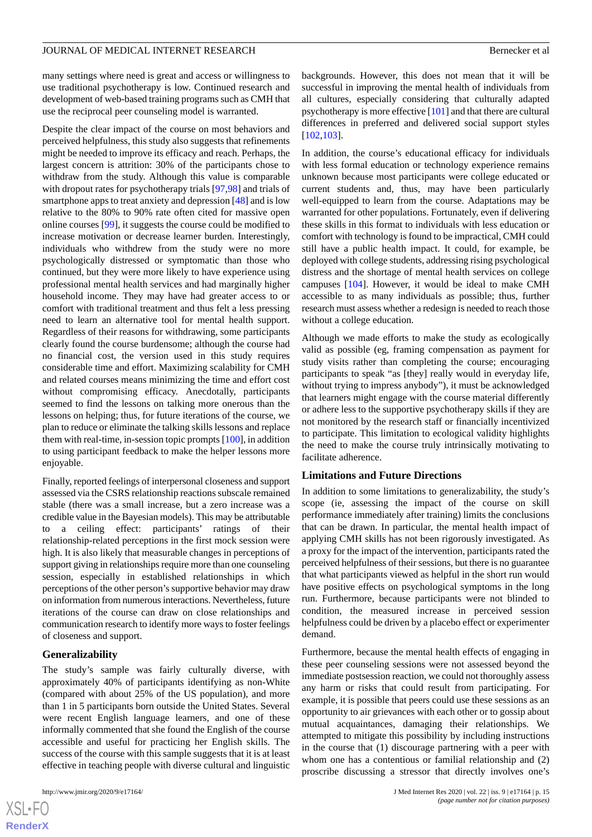many settings where need is great and access or willingness to use traditional psychotherapy is low. Continued research and development of web-based training programs such as CMH that use the reciprocal peer counseling model is warranted.

Despite the clear impact of the course on most behaviors and perceived helpfulness, this study also suggests that refinements might be needed to improve its efficacy and reach. Perhaps, the largest concern is attrition: 30% of the participants chose to withdraw from the study. Although this value is comparable with dropout rates for psychotherapy trials [\[97](#page-19-23)[,98](#page-20-0)] and trials of smartphone apps to treat anxiety and depression [[48\]](#page-18-2) and is low relative to the 80% to 90% rate often cited for massive open online courses [\[99](#page-20-1)], it suggests the course could be modified to increase motivation or decrease learner burden. Interestingly, individuals who withdrew from the study were no more psychologically distressed or symptomatic than those who continued, but they were more likely to have experience using professional mental health services and had marginally higher household income. They may have had greater access to or comfort with traditional treatment and thus felt a less pressing need to learn an alternative tool for mental health support. Regardless of their reasons for withdrawing, some participants clearly found the course burdensome; although the course had no financial cost, the version used in this study requires considerable time and effort. Maximizing scalability for CMH and related courses means minimizing the time and effort cost without compromising efficacy. Anecdotally, participants seemed to find the lessons on talking more onerous than the lessons on helping; thus, for future iterations of the course, we plan to reduce or eliminate the talking skills lessons and replace them with real-time, in-session topic prompts [\[100](#page-20-2)], in addition to using participant feedback to make the helper lessons more enjoyable.

Finally, reported feelings of interpersonal closeness and support assessed via the CSRS relationship reactions subscale remained stable (there was a small increase, but a zero increase was a credible value in the Bayesian models). This may be attributable to a ceiling effect: participants' ratings of their relationship-related perceptions in the first mock session were high. It is also likely that measurable changes in perceptions of support giving in relationships require more than one counseling session, especially in established relationships in which perceptions of the other person's supportive behavior may draw on information from numerous interactions. Nevertheless, future iterations of the course can draw on close relationships and communication research to identify more ways to foster feelings of closeness and support.

## **Generalizability**

The study's sample was fairly culturally diverse, with approximately 40% of participants identifying as non-White (compared with about 25% of the US population), and more than 1 in 5 participants born outside the United States. Several were recent English language learners, and one of these informally commented that she found the English of the course accessible and useful for practicing her English skills. The success of the course with this sample suggests that it is at least effective in teaching people with diverse cultural and linguistic

backgrounds. However, this does not mean that it will be successful in improving the mental health of individuals from all cultures, especially considering that culturally adapted psychotherapy is more effective [\[101](#page-20-3)] and that there are cultural differences in preferred and delivered social support styles [[102](#page-20-4)[,103\]](#page-20-5).

In addition, the course's educational efficacy for individuals with less formal education or technology experience remains unknown because most participants were college educated or current students and, thus, may have been particularly well-equipped to learn from the course. Adaptations may be warranted for other populations. Fortunately, even if delivering these skills in this format to individuals with less education or comfort with technology is found to be impractical, CMH could still have a public health impact. It could, for example, be deployed with college students, addressing rising psychological distress and the shortage of mental health services on college campuses [[104\]](#page-20-6). However, it would be ideal to make CMH accessible to as many individuals as possible; thus, further research must assess whether a redesign is needed to reach those without a college education.

Although we made efforts to make the study as ecologically valid as possible (eg, framing compensation as payment for study visits rather than completing the course; encouraging participants to speak "as [they] really would in everyday life, without trying to impress anybody"), it must be acknowledged that learners might engage with the course material differently or adhere less to the supportive psychotherapy skills if they are not monitored by the research staff or financially incentivized to participate. This limitation to ecological validity highlights the need to make the course truly intrinsically motivating to facilitate adherence.

## **Limitations and Future Directions**

In addition to some limitations to generalizability, the study's scope (ie, assessing the impact of the course on skill performance immediately after training) limits the conclusions that can be drawn. In particular, the mental health impact of applying CMH skills has not been rigorously investigated. As a proxy for the impact of the intervention, participants rated the perceived helpfulness of their sessions, but there is no guarantee that what participants viewed as helpful in the short run would have positive effects on psychological symptoms in the long run. Furthermore, because participants were not blinded to condition, the measured increase in perceived session helpfulness could be driven by a placebo effect or experimenter demand.

Furthermore, because the mental health effects of engaging in these peer counseling sessions were not assessed beyond the immediate postsession reaction, we could not thoroughly assess any harm or risks that could result from participating. For example, it is possible that peers could use these sessions as an opportunity to air grievances with each other or to gossip about mutual acquaintances, damaging their relationships. We attempted to mitigate this possibility by including instructions in the course that (1) discourage partnering with a peer with whom one has a contentious or familial relationship and (2) proscribe discussing a stressor that directly involves one's

```
XS-FO
RenderX
```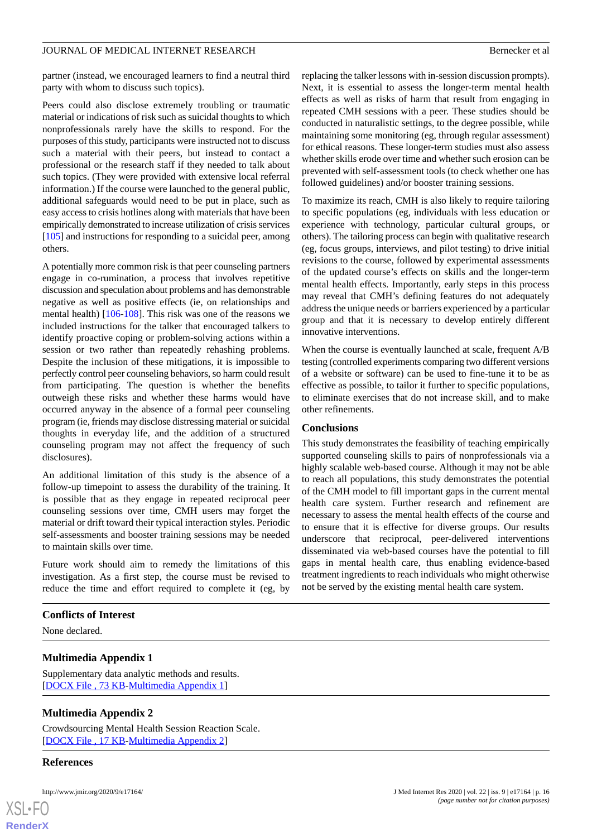partner (instead, we encouraged learners to find a neutral third party with whom to discuss such topics).

Peers could also disclose extremely troubling or traumatic material or indications of risk such as suicidal thoughts to which nonprofessionals rarely have the skills to respond. For the purposes of this study, participants were instructed not to discuss such a material with their peers, but instead to contact a professional or the research staff if they needed to talk about such topics. (They were provided with extensive local referral information.) If the course were launched to the general public, additional safeguards would need to be put in place, such as easy access to crisis hotlines along with materials that have been empirically demonstrated to increase utilization of crisis services [[105\]](#page-20-7) and instructions for responding to a suicidal peer, among others.

A potentially more common risk is that peer counseling partners engage in co-rumination, a process that involves repetitive discussion and speculation about problems and has demonstrable negative as well as positive effects (ie, on relationships and mental health) [\[106](#page-20-8)[-108\]](#page-20-9). This risk was one of the reasons we included instructions for the talker that encouraged talkers to identify proactive coping or problem-solving actions within a session or two rather than repeatedly rehashing problems. Despite the inclusion of these mitigations, it is impossible to perfectly control peer counseling behaviors, so harm could result from participating. The question is whether the benefits outweigh these risks and whether these harms would have occurred anyway in the absence of a formal peer counseling program (ie, friends may disclose distressing material or suicidal thoughts in everyday life, and the addition of a structured counseling program may not affect the frequency of such disclosures).

An additional limitation of this study is the absence of a follow-up timepoint to assess the durability of the training. It is possible that as they engage in repeated reciprocal peer counseling sessions over time, CMH users may forget the material or drift toward their typical interaction styles. Periodic self-assessments and booster training sessions may be needed to maintain skills over time.

Future work should aim to remedy the limitations of this investigation. As a first step, the course must be revised to reduce the time and effort required to complete it (eg, by

# <span id="page-15-0"></span>**Conflicts of Interest**

<span id="page-15-1"></span>None declared.

## **Multimedia Appendix 1**

Supplementary data analytic methods and results. [[DOCX File , 73 KB](https://jmir.org/api/download?alt_name=jmir_v22i9e17164_app1.docx&filename=c82552189272b2f097e89eabc1f0f775.docx)-[Multimedia Appendix 1\]](https://jmir.org/api/download?alt_name=jmir_v22i9e17164_app1.docx&filename=c82552189272b2f097e89eabc1f0f775.docx)

## **Multimedia Appendix 2**

Crowdsourcing Mental Health Session Reaction Scale. [[DOCX File , 17 KB](https://jmir.org/api/download?alt_name=jmir_v22i9e17164_app2.docx&filename=922b24a3dcaa5c0c95e0d53287592e63.docx)-[Multimedia Appendix 2\]](https://jmir.org/api/download?alt_name=jmir_v22i9e17164_app2.docx&filename=922b24a3dcaa5c0c95e0d53287592e63.docx)

## **References**



replacing the talker lessons with in-session discussion prompts). Next, it is essential to assess the longer-term mental health effects as well as risks of harm that result from engaging in repeated CMH sessions with a peer. These studies should be conducted in naturalistic settings, to the degree possible, while maintaining some monitoring (eg, through regular assessment) for ethical reasons. These longer-term studies must also assess whether skills erode over time and whether such erosion can be prevented with self-assessment tools (to check whether one has followed guidelines) and/or booster training sessions.

To maximize its reach, CMH is also likely to require tailoring to specific populations (eg, individuals with less education or experience with technology, particular cultural groups, or others). The tailoring process can begin with qualitative research (eg, focus groups, interviews, and pilot testing) to drive initial revisions to the course, followed by experimental assessments of the updated course's effects on skills and the longer-term mental health effects. Importantly, early steps in this process may reveal that CMH's defining features do not adequately address the unique needs or barriers experienced by a particular group and that it is necessary to develop entirely different innovative interventions.

When the course is eventually launched at scale, frequent A/B testing (controlled experiments comparing two different versions of a website or software) can be used to fine-tune it to be as effective as possible, to tailor it further to specific populations, to eliminate exercises that do not increase skill, and to make other refinements.

## **Conclusions**

This study demonstrates the feasibility of teaching empirically supported counseling skills to pairs of nonprofessionals via a highly scalable web-based course. Although it may not be able to reach all populations, this study demonstrates the potential of the CMH model to fill important gaps in the current mental health care system. Further research and refinement are necessary to assess the mental health effects of the course and to ensure that it is effective for diverse groups. Our results underscore that reciprocal, peer-delivered interventions disseminated via web-based courses have the potential to fill gaps in mental health care, thus enabling evidence-based treatment ingredients to reach individuals who might otherwise not be served by the existing mental health care system.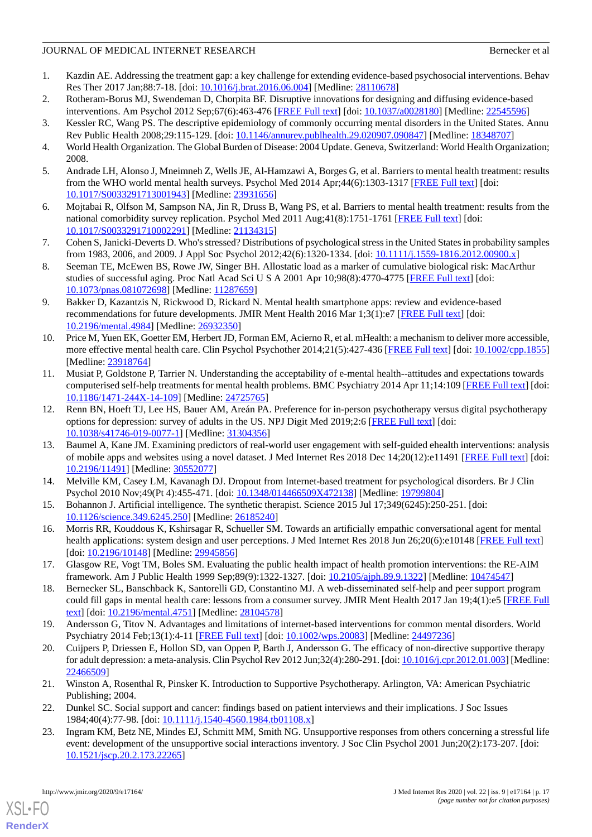- <span id="page-16-0"></span>1. Kazdin AE. Addressing the treatment gap: a key challenge for extending evidence-based psychosocial interventions. Behav Res Ther 2017 Jan;88:7-18. [doi: [10.1016/j.brat.2016.06.004](http://dx.doi.org/10.1016/j.brat.2016.06.004)] [Medline: [28110678\]](http://www.ncbi.nlm.nih.gov/entrez/query.fcgi?cmd=Retrieve&db=PubMed&list_uids=28110678&dopt=Abstract)
- <span id="page-16-2"></span><span id="page-16-1"></span>2. Rotheram-Borus MJ, Swendeman D, Chorpita BF. Disruptive innovations for designing and diffusing evidence-based interventions. Am Psychol 2012 Sep;67(6):463-476 [\[FREE Full text\]](http://europepmc.org/abstract/MED/22545596) [doi: [10.1037/a0028180\]](http://dx.doi.org/10.1037/a0028180) [Medline: [22545596](http://www.ncbi.nlm.nih.gov/entrez/query.fcgi?cmd=Retrieve&db=PubMed&list_uids=22545596&dopt=Abstract)]
- <span id="page-16-3"></span>3. Kessler RC, Wang PS. The descriptive epidemiology of commonly occurring mental disorders in the United States. Annu Rev Public Health 2008;29:115-129. [doi: [10.1146/annurev.publhealth.29.020907.090847](http://dx.doi.org/10.1146/annurev.publhealth.29.020907.090847)] [Medline: [18348707\]](http://www.ncbi.nlm.nih.gov/entrez/query.fcgi?cmd=Retrieve&db=PubMed&list_uids=18348707&dopt=Abstract)
- <span id="page-16-4"></span>4. World Health Organization. The Global Burden of Disease: 2004 Update. Geneva, Switzerland: World Health Organization; 2008.
- <span id="page-16-5"></span>5. Andrade LH, Alonso J, Mneimneh Z, Wells JE, Al-Hamzawi A, Borges G, et al. Barriers to mental health treatment: results from the WHO world mental health surveys. Psychol Med 2014 Apr;44(6):1303-1317 [[FREE Full text](http://europepmc.org/abstract/MED/23931656)] [doi: [10.1017/S0033291713001943](http://dx.doi.org/10.1017/S0033291713001943)] [Medline: [23931656](http://www.ncbi.nlm.nih.gov/entrez/query.fcgi?cmd=Retrieve&db=PubMed&list_uids=23931656&dopt=Abstract)]
- <span id="page-16-6"></span>6. Mojtabai R, Olfson M, Sampson NA, Jin R, Druss B, Wang PS, et al. Barriers to mental health treatment: results from the national comorbidity survey replication. Psychol Med 2011 Aug;41(8):1751-1761 [\[FREE Full text\]](http://europepmc.org/abstract/MED/21134315) [doi: [10.1017/S0033291710002291](http://dx.doi.org/10.1017/S0033291710002291)] [Medline: [21134315](http://www.ncbi.nlm.nih.gov/entrez/query.fcgi?cmd=Retrieve&db=PubMed&list_uids=21134315&dopt=Abstract)]
- <span id="page-16-7"></span>7. Cohen S, Janicki-Deverts D. Who's stressed? Distributions of psychological stress in the United States in probability samples from 1983, 2006, and 2009. J Appl Soc Psychol 2012;42(6):1320-1334. [doi: [10.1111/j.1559-1816.2012.00900.x](http://dx.doi.org/10.1111/j.1559-1816.2012.00900.x)]
- <span id="page-16-8"></span>8. Seeman TE, McEwen BS, Rowe JW, Singer BH. Allostatic load as a marker of cumulative biological risk: MacArthur studies of successful aging. Proc Natl Acad Sci U S A 2001 Apr 10;98(8):4770-4775 [\[FREE Full text\]](http://www.pnas.org/cgi/pmidlookup?view=long&pmid=11287659) [doi: [10.1073/pnas.081072698\]](http://dx.doi.org/10.1073/pnas.081072698) [Medline: [11287659](http://www.ncbi.nlm.nih.gov/entrez/query.fcgi?cmd=Retrieve&db=PubMed&list_uids=11287659&dopt=Abstract)]
- <span id="page-16-9"></span>9. Bakker D, Kazantzis N, Rickwood D, Rickard N. Mental health smartphone apps: review and evidence-based recommendations for future developments. JMIR Ment Health 2016 Mar 1;3(1):e7 [\[FREE Full text](https://mental.jmir.org/2016/1/e7/)] [doi: [10.2196/mental.4984\]](http://dx.doi.org/10.2196/mental.4984) [Medline: [26932350](http://www.ncbi.nlm.nih.gov/entrez/query.fcgi?cmd=Retrieve&db=PubMed&list_uids=26932350&dopt=Abstract)]
- <span id="page-16-10"></span>10. Price M, Yuen EK, Goetter EM, Herbert JD, Forman EM, Acierno R, et al. mHealth: a mechanism to deliver more accessible, more effective mental health care. Clin Psychol Psychother 2014;21(5):427-436 [\[FREE Full text](http://europepmc.org/abstract/MED/23918764)] [doi: [10.1002/cpp.1855](http://dx.doi.org/10.1002/cpp.1855)] [Medline: [23918764](http://www.ncbi.nlm.nih.gov/entrez/query.fcgi?cmd=Retrieve&db=PubMed&list_uids=23918764&dopt=Abstract)]
- <span id="page-16-11"></span>11. Musiat P, Goldstone P, Tarrier N. Understanding the acceptability of e-mental health--attitudes and expectations towards computerised self-help treatments for mental health problems. BMC Psychiatry 2014 Apr 11;14:109 [[FREE Full text](https://bmcpsychiatry.biomedcentral.com/articles/10.1186/1471-244X-14-109)] [doi: [10.1186/1471-244X-14-109](http://dx.doi.org/10.1186/1471-244X-14-109)] [Medline: [24725765\]](http://www.ncbi.nlm.nih.gov/entrez/query.fcgi?cmd=Retrieve&db=PubMed&list_uids=24725765&dopt=Abstract)
- <span id="page-16-12"></span>12. Renn BN, Hoeft TJ, Lee HS, Bauer AM, Areán PA. Preference for in-person psychotherapy versus digital psychotherapy options for depression: survey of adults in the US. NPJ Digit Med 2019;2:6 [[FREE Full text](http://europepmc.org/abstract/MED/31304356)] [doi: [10.1038/s41746-019-0077-1\]](http://dx.doi.org/10.1038/s41746-019-0077-1) [Medline: [31304356](http://www.ncbi.nlm.nih.gov/entrez/query.fcgi?cmd=Retrieve&db=PubMed&list_uids=31304356&dopt=Abstract)]
- <span id="page-16-14"></span><span id="page-16-13"></span>13. Baumel A, Kane JM. Examining predictors of real-world user engagement with self-guided ehealth interventions: analysis of mobile apps and websites using a novel dataset. J Med Internet Res 2018 Dec 14;20(12):e11491 [[FREE Full text\]](https://www.jmir.org/2018/12/e11491/) [doi: [10.2196/11491\]](http://dx.doi.org/10.2196/11491) [Medline: [30552077\]](http://www.ncbi.nlm.nih.gov/entrez/query.fcgi?cmd=Retrieve&db=PubMed&list_uids=30552077&dopt=Abstract)
- <span id="page-16-15"></span>14. Melville KM, Casey LM, Kavanagh DJ. Dropout from Internet-based treatment for psychological disorders. Br J Clin Psychol 2010 Nov;49(Pt 4):455-471. [doi: [10.1348/014466509X472138\]](http://dx.doi.org/10.1348/014466509X472138) [Medline: [19799804](http://www.ncbi.nlm.nih.gov/entrez/query.fcgi?cmd=Retrieve&db=PubMed&list_uids=19799804&dopt=Abstract)]
- <span id="page-16-16"></span>15. Bohannon J. Artificial intelligence. The synthetic therapist. Science 2015 Jul 17;349(6245):250-251. [doi: [10.1126/science.349.6245.250\]](http://dx.doi.org/10.1126/science.349.6245.250) [Medline: [26185240](http://www.ncbi.nlm.nih.gov/entrez/query.fcgi?cmd=Retrieve&db=PubMed&list_uids=26185240&dopt=Abstract)]
- <span id="page-16-17"></span>16. Morris RR, Kouddous K, Kshirsagar R, Schueller SM. Towards an artificially empathic conversational agent for mental health applications: system design and user perceptions. J Med Internet Res 2018 Jun 26;20(6):e10148 [[FREE Full text](https://www.jmir.org/2018/6/e10148/)] [doi: [10.2196/10148](http://dx.doi.org/10.2196/10148)] [Medline: [29945856\]](http://www.ncbi.nlm.nih.gov/entrez/query.fcgi?cmd=Retrieve&db=PubMed&list_uids=29945856&dopt=Abstract)
- <span id="page-16-18"></span>17. Glasgow RE, Vogt TM, Boles SM. Evaluating the public health impact of health promotion interventions: the RE-AIM framework. Am J Public Health 1999 Sep;89(9):1322-1327. [doi: [10.2105/ajph.89.9.1322\]](http://dx.doi.org/10.2105/ajph.89.9.1322) [Medline: [10474547](http://www.ncbi.nlm.nih.gov/entrez/query.fcgi?cmd=Retrieve&db=PubMed&list_uids=10474547&dopt=Abstract)]
- <span id="page-16-19"></span>18. Bernecker SL, Banschback K, Santorelli GD, Constantino MJ. A web-disseminated self-help and peer support program could fill gaps in mental health care: lessons from a consumer survey. JMIR Ment Health 2017 Jan 19;4(1):e5 [[FREE Full](https://mental.jmir.org/2017/1/e5/) [text](https://mental.jmir.org/2017/1/e5/)] [doi: [10.2196/mental.4751\]](http://dx.doi.org/10.2196/mental.4751) [Medline: [28104578](http://www.ncbi.nlm.nih.gov/entrez/query.fcgi?cmd=Retrieve&db=PubMed&list_uids=28104578&dopt=Abstract)]
- <span id="page-16-20"></span>19. Andersson G, Titov N. Advantages and limitations of internet-based interventions for common mental disorders. World Psychiatry 2014 Feb;13(1):4-11 [\[FREE Full text](https://doi.org/10.1002/wps.20083)] [doi: [10.1002/wps.20083\]](http://dx.doi.org/10.1002/wps.20083) [Medline: [24497236](http://www.ncbi.nlm.nih.gov/entrez/query.fcgi?cmd=Retrieve&db=PubMed&list_uids=24497236&dopt=Abstract)]
- <span id="page-16-22"></span><span id="page-16-21"></span>20. Cuijpers P, Driessen E, Hollon SD, van Oppen P, Barth J, Andersson G. The efficacy of non-directive supportive therapy for adult depression: a meta-analysis. Clin Psychol Rev 2012 Jun;32(4):280-291. [doi: [10.1016/j.cpr.2012.01.003](http://dx.doi.org/10.1016/j.cpr.2012.01.003)] [Medline: [22466509](http://www.ncbi.nlm.nih.gov/entrez/query.fcgi?cmd=Retrieve&db=PubMed&list_uids=22466509&dopt=Abstract)]
- 21. Winston A, Rosenthal R, Pinsker K. Introduction to Supportive Psychotherapy. Arlington, VA: American Psychiatric Publishing; 2004.
- 22. Dunkel SC. Social support and cancer: findings based on patient interviews and their implications. J Soc Issues 1984;40(4):77-98. [doi: [10.1111/j.1540-4560.1984.tb01108.x\]](http://dx.doi.org/10.1111/j.1540-4560.1984.tb01108.x)
- 23. Ingram KM, Betz NE, Mindes EJ, Schmitt MM, Smith NG. Unsupportive responses from others concerning a stressful life event: development of the unsupportive social interactions inventory. J Soc Clin Psychol 2001 Jun;20(2):173-207. [doi: [10.1521/jscp.20.2.173.22265\]](http://dx.doi.org/10.1521/jscp.20.2.173.22265)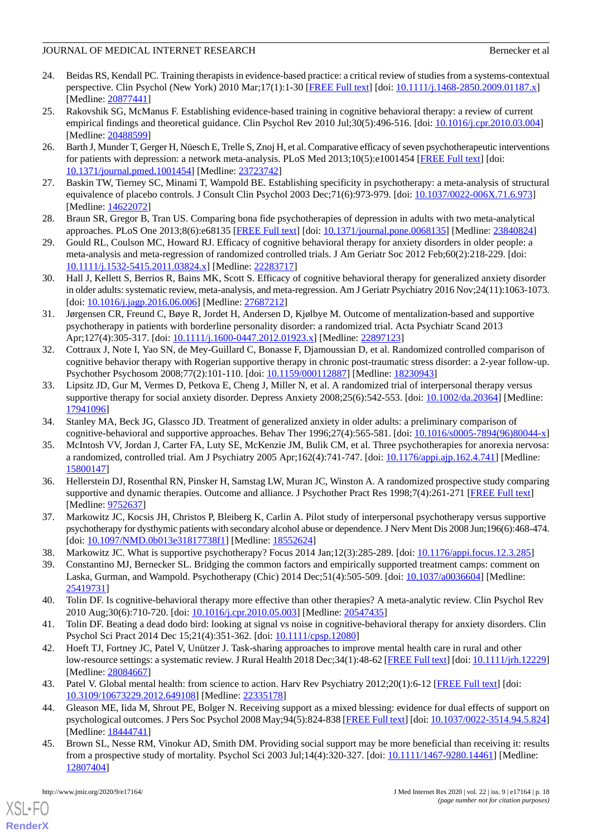- <span id="page-17-0"></span>24. Beidas RS, Kendall PC. Training therapists in evidence-based practice: a critical review of studies from a systems-contextual perspective. Clin Psychol (New York) 2010 Mar;17(1):1-30 [[FREE Full text](http://europepmc.org/abstract/MED/20877441)] [doi: [10.1111/j.1468-2850.2009.01187.x\]](http://dx.doi.org/10.1111/j.1468-2850.2009.01187.x) [Medline: [20877441](http://www.ncbi.nlm.nih.gov/entrez/query.fcgi?cmd=Retrieve&db=PubMed&list_uids=20877441&dopt=Abstract)]
- <span id="page-17-1"></span>25. Rakovshik SG, McManus F. Establishing evidence-based training in cognitive behavioral therapy: a review of current empirical findings and theoretical guidance. Clin Psychol Rev 2010 Jul;30(5):496-516. [doi: [10.1016/j.cpr.2010.03.004](http://dx.doi.org/10.1016/j.cpr.2010.03.004)] [Medline: [20488599](http://www.ncbi.nlm.nih.gov/entrez/query.fcgi?cmd=Retrieve&db=PubMed&list_uids=20488599&dopt=Abstract)]
- <span id="page-17-2"></span>26. Barth J, Munder T, Gerger H, Nüesch E, Trelle S, Znoj H, et al. Comparative efficacy of seven psychotherapeutic interventions for patients with depression: a network meta-analysis. PLoS Med 2013;10(5):e1001454 [[FREE Full text](https://dx.plos.org/10.1371/journal.pmed.1001454)] [doi: [10.1371/journal.pmed.1001454](http://dx.doi.org/10.1371/journal.pmed.1001454)] [Medline: [23723742](http://www.ncbi.nlm.nih.gov/entrez/query.fcgi?cmd=Retrieve&db=PubMed&list_uids=23723742&dopt=Abstract)]
- <span id="page-17-4"></span><span id="page-17-3"></span>27. Baskin TW, Tierney SC, Minami T, Wampold BE. Establishing specificity in psychotherapy: a meta-analysis of structural equivalence of placebo controls. J Consult Clin Psychol 2003 Dec;71(6):973-979. [doi: [10.1037/0022-006X.71.6.973\]](http://dx.doi.org/10.1037/0022-006X.71.6.973) [Medline: [14622072](http://www.ncbi.nlm.nih.gov/entrez/query.fcgi?cmd=Retrieve&db=PubMed&list_uids=14622072&dopt=Abstract)]
- <span id="page-17-5"></span>28. Braun SR, Gregor B, Tran US. Comparing bona fide psychotherapies of depression in adults with two meta-analytical approaches. PLoS One 2013;8(6):e68135 [[FREE Full text](https://dx.plos.org/10.1371/journal.pone.0068135)] [doi: [10.1371/journal.pone.0068135\]](http://dx.doi.org/10.1371/journal.pone.0068135) [Medline: [23840824](http://www.ncbi.nlm.nih.gov/entrez/query.fcgi?cmd=Retrieve&db=PubMed&list_uids=23840824&dopt=Abstract)]
- <span id="page-17-6"></span>29. Gould RL, Coulson MC, Howard RJ. Efficacy of cognitive behavioral therapy for anxiety disorders in older people: a meta-analysis and meta-regression of randomized controlled trials. J Am Geriatr Soc 2012 Feb;60(2):218-229. [doi: [10.1111/j.1532-5415.2011.03824.x\]](http://dx.doi.org/10.1111/j.1532-5415.2011.03824.x) [Medline: [22283717\]](http://www.ncbi.nlm.nih.gov/entrez/query.fcgi?cmd=Retrieve&db=PubMed&list_uids=22283717&dopt=Abstract)
- <span id="page-17-7"></span>30. Hall J, Kellett S, Berrios R, Bains MK, Scott S. Efficacy of cognitive behavioral therapy for generalized anxiety disorder in older adults: systematic review, meta-analysis, and meta-regression. Am J Geriatr Psychiatry 2016 Nov;24(11):1063-1073. [doi: [10.1016/j.jagp.2016.06.006](http://dx.doi.org/10.1016/j.jagp.2016.06.006)] [Medline: [27687212\]](http://www.ncbi.nlm.nih.gov/entrez/query.fcgi?cmd=Retrieve&db=PubMed&list_uids=27687212&dopt=Abstract)
- <span id="page-17-8"></span>31. Jørgensen CR, Freund C, Bøye R, Jordet H, Andersen D, Kjølbye M. Outcome of mentalization-based and supportive psychotherapy in patients with borderline personality disorder: a randomized trial. Acta Psychiatr Scand 2013 Apr;127(4):305-317. [doi: [10.1111/j.1600-0447.2012.01923.x](http://dx.doi.org/10.1111/j.1600-0447.2012.01923.x)] [Medline: [22897123](http://www.ncbi.nlm.nih.gov/entrez/query.fcgi?cmd=Retrieve&db=PubMed&list_uids=22897123&dopt=Abstract)]
- <span id="page-17-9"></span>32. Cottraux J, Note I, Yao SN, de Mey-Guillard C, Bonasse F, Djamoussian D, et al. Randomized controlled comparison of cognitive behavior therapy with Rogerian supportive therapy in chronic post-traumatic stress disorder: a 2-year follow-up. Psychother Psychosom 2008;77(2):101-110. [doi: [10.1159/000112887\]](http://dx.doi.org/10.1159/000112887) [Medline: [18230943](http://www.ncbi.nlm.nih.gov/entrez/query.fcgi?cmd=Retrieve&db=PubMed&list_uids=18230943&dopt=Abstract)]
- <span id="page-17-11"></span><span id="page-17-10"></span>33. Lipsitz JD, Gur M, Vermes D, Petkova E, Cheng J, Miller N, et al. A randomized trial of interpersonal therapy versus supportive therapy for social anxiety disorder. Depress Anxiety 2008;25(6):542-553. [doi: [10.1002/da.20364\]](http://dx.doi.org/10.1002/da.20364) [Medline: [17941096](http://www.ncbi.nlm.nih.gov/entrez/query.fcgi?cmd=Retrieve&db=PubMed&list_uids=17941096&dopt=Abstract)]
- <span id="page-17-12"></span>34. Stanley MA, Beck JG, Glassco JD. Treatment of generalized anxiety in older adults: a preliminary comparison of cognitive-behavioral and supportive approaches. Behav Ther 1996;27(4):565-581. [doi: [10.1016/s0005-7894\(96\)80044-x](http://dx.doi.org/10.1016/s0005-7894(96)80044-x)]
- 35. McIntosh VV, Jordan J, Carter FA, Luty SE, McKenzie JM, Bulik CM, et al. Three psychotherapies for anorexia nervosa: a randomized, controlled trial. Am J Psychiatry 2005 Apr;162(4):741-747. [doi: [10.1176/appi.ajp.162.4.741](http://dx.doi.org/10.1176/appi.ajp.162.4.741)] [Medline: [15800147](http://www.ncbi.nlm.nih.gov/entrez/query.fcgi?cmd=Retrieve&db=PubMed&list_uids=15800147&dopt=Abstract)]
- <span id="page-17-14"></span><span id="page-17-13"></span>36. Hellerstein DJ, Rosenthal RN, Pinsker H, Samstag LW, Muran JC, Winston A. A randomized prospective study comparing supportive and dynamic therapies. Outcome and alliance. J Psychother Pract Res 1998;7(4):261-271 [\[FREE Full text\]](http://europepmc.org/abstract/MED/9752637) [Medline: [9752637\]](http://www.ncbi.nlm.nih.gov/entrez/query.fcgi?cmd=Retrieve&db=PubMed&list_uids=9752637&dopt=Abstract)
- <span id="page-17-15"></span>37. Markowitz JC, Kocsis JH, Christos P, Bleiberg K, Carlin A. Pilot study of interpersonal psychotherapy versus supportive psychotherapy for dysthymic patients with secondary alcohol abuse or dependence. J Nerv Ment Dis 2008 Jun;196(6):468-474. [doi: [10.1097/NMD.0b013e31817738f1\]](http://dx.doi.org/10.1097/NMD.0b013e31817738f1) [Medline: [18552624\]](http://www.ncbi.nlm.nih.gov/entrez/query.fcgi?cmd=Retrieve&db=PubMed&list_uids=18552624&dopt=Abstract)
- 38. Markowitz JC. What is supportive psychotherapy? Focus 2014 Jan;12(3):285-289. [doi: [10.1176/appi.focus.12.3.285](http://dx.doi.org/10.1176/appi.focus.12.3.285)]
- <span id="page-17-16"></span>39. Constantino MJ, Bernecker SL. Bridging the common factors and empirically supported treatment camps: comment on Laska, Gurman, and Wampold. Psychotherapy (Chic) 2014 Dec;51(4):505-509. [doi: [10.1037/a0036604](http://dx.doi.org/10.1037/a0036604)] [Medline: [25419731](http://www.ncbi.nlm.nih.gov/entrez/query.fcgi?cmd=Retrieve&db=PubMed&list_uids=25419731&dopt=Abstract)]
- <span id="page-17-17"></span>40. Tolin DF. Is cognitive-behavioral therapy more effective than other therapies? A meta-analytic review. Clin Psychol Rev 2010 Aug;30(6):710-720. [doi: [10.1016/j.cpr.2010.05.003](http://dx.doi.org/10.1016/j.cpr.2010.05.003)] [Medline: [20547435](http://www.ncbi.nlm.nih.gov/entrez/query.fcgi?cmd=Retrieve&db=PubMed&list_uids=20547435&dopt=Abstract)]
- <span id="page-17-18"></span>41. Tolin DF. Beating a dead dodo bird: looking at signal vs noise in cognitive-behavioral therapy for anxiety disorders. Clin Psychol Sci Pract 2014 Dec 15;21(4):351-362. [doi: [10.1111/cpsp.12080](http://dx.doi.org/10.1111/cpsp.12080)]
- <span id="page-17-19"></span>42. Hoeft TJ, Fortney JC, Patel V, Unützer J. Task-sharing approaches to improve mental health care in rural and other low-resource settings: a systematic review. J Rural Health 2018 Dec;34(1):48-62 [[FREE Full text](http://europepmc.org/abstract/MED/28084667)] [doi: [10.1111/jrh.12229](http://dx.doi.org/10.1111/jrh.12229)] [Medline: [28084667](http://www.ncbi.nlm.nih.gov/entrez/query.fcgi?cmd=Retrieve&db=PubMed&list_uids=28084667&dopt=Abstract)]
- <span id="page-17-20"></span>43. Patel V. Global mental health: from science to action. Harv Rev Psychiatry 2012;20(1):6-12 [[FREE Full text\]](http://europepmc.org/abstract/MED/22335178) [doi: [10.3109/10673229.2012.649108\]](http://dx.doi.org/10.3109/10673229.2012.649108) [Medline: [22335178\]](http://www.ncbi.nlm.nih.gov/entrez/query.fcgi?cmd=Retrieve&db=PubMed&list_uids=22335178&dopt=Abstract)
- 44. Gleason ME, Iida M, Shrout PE, Bolger N. Receiving support as a mixed blessing: evidence for dual effects of support on psychological outcomes. J Pers Soc Psychol 2008 May;94(5):824-838 [\[FREE Full text](http://europepmc.org/abstract/MED/18444741)] [doi: [10.1037/0022-3514.94.5.824](http://dx.doi.org/10.1037/0022-3514.94.5.824)] [Medline: [18444741](http://www.ncbi.nlm.nih.gov/entrez/query.fcgi?cmd=Retrieve&db=PubMed&list_uids=18444741&dopt=Abstract)]
- 45. Brown SL, Nesse RM, Vinokur AD, Smith DM. Providing social support may be more beneficial than receiving it: results from a prospective study of mortality. Psychol Sci 2003 Jul;14(4):320-327. [doi: [10.1111/1467-9280.14461](http://dx.doi.org/10.1111/1467-9280.14461)] [Medline: [12807404](http://www.ncbi.nlm.nih.gov/entrez/query.fcgi?cmd=Retrieve&db=PubMed&list_uids=12807404&dopt=Abstract)]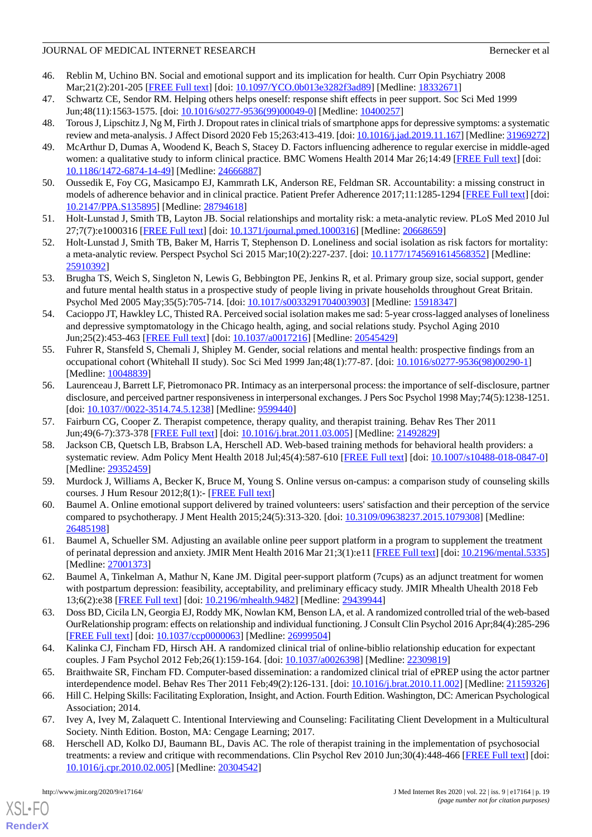- <span id="page-18-0"></span>46. Reblin M, Uchino BN. Social and emotional support and its implication for health. Curr Opin Psychiatry 2008 Mar;21(2):201-205 [[FREE Full text\]](http://europepmc.org/abstract/MED/18332671) [doi: [10.1097/YCO.0b013e3282f3ad89](http://dx.doi.org/10.1097/YCO.0b013e3282f3ad89)] [Medline: [18332671](http://www.ncbi.nlm.nih.gov/entrez/query.fcgi?cmd=Retrieve&db=PubMed&list_uids=18332671&dopt=Abstract)]
- <span id="page-18-2"></span><span id="page-18-1"></span>47. Schwartz CE, Sendor RM. Helping others helps oneself: response shift effects in peer support. Soc Sci Med 1999 Jun;48(11):1563-1575. [doi: [10.1016/s0277-9536\(99\)00049-0\]](http://dx.doi.org/10.1016/s0277-9536(99)00049-0) [Medline: [10400257\]](http://www.ncbi.nlm.nih.gov/entrez/query.fcgi?cmd=Retrieve&db=PubMed&list_uids=10400257&dopt=Abstract)
- <span id="page-18-3"></span>48. Torous J, Lipschitz J, Ng M, Firth J. Dropout rates in clinical trials of smartphone apps for depressive symptoms: a systematic review and meta-analysis. J Affect Disord 2020 Feb 15;263:413-419. [doi: [10.1016/j.jad.2019.11.167](http://dx.doi.org/10.1016/j.jad.2019.11.167)] [Medline: [31969272\]](http://www.ncbi.nlm.nih.gov/entrez/query.fcgi?cmd=Retrieve&db=PubMed&list_uids=31969272&dopt=Abstract)
- <span id="page-18-4"></span>49. McArthur D, Dumas A, Woodend K, Beach S, Stacey D. Factors influencing adherence to regular exercise in middle-aged women: a qualitative study to inform clinical practice. BMC Womens Health 2014 Mar 26;14:49 [\[FREE Full text\]](https://bmcwomenshealth.biomedcentral.com/articles/10.1186/1472-6874-14-49) [doi: [10.1186/1472-6874-14-49\]](http://dx.doi.org/10.1186/1472-6874-14-49) [Medline: [24666887\]](http://www.ncbi.nlm.nih.gov/entrez/query.fcgi?cmd=Retrieve&db=PubMed&list_uids=24666887&dopt=Abstract)
- <span id="page-18-5"></span>50. Oussedik E, Foy CG, Masicampo EJ, Kammrath LK, Anderson RE, Feldman SR. Accountability: a missing construct in models of adherence behavior and in clinical practice. Patient Prefer Adherence 2017;11:1285-1294 [[FREE Full text](https://dx.doi.org/10.2147/PPA.S135895)] [doi: [10.2147/PPA.S135895](http://dx.doi.org/10.2147/PPA.S135895)] [Medline: [28794618](http://www.ncbi.nlm.nih.gov/entrez/query.fcgi?cmd=Retrieve&db=PubMed&list_uids=28794618&dopt=Abstract)]
- <span id="page-18-6"></span>51. Holt-Lunstad J, Smith TB, Layton JB. Social relationships and mortality risk: a meta-analytic review. PLoS Med 2010 Jul 27;7(7):e1000316 [\[FREE Full text](https://dx.plos.org/10.1371/journal.pmed.1000316)] [doi: [10.1371/journal.pmed.1000316\]](http://dx.doi.org/10.1371/journal.pmed.1000316) [Medline: [20668659](http://www.ncbi.nlm.nih.gov/entrez/query.fcgi?cmd=Retrieve&db=PubMed&list_uids=20668659&dopt=Abstract)]
- <span id="page-18-7"></span>52. Holt-Lunstad J, Smith TB, Baker M, Harris T, Stephenson D. Loneliness and social isolation as risk factors for mortality: a meta-analytic review. Perspect Psychol Sci 2015 Mar;10(2):227-237. [doi: [10.1177/1745691614568352\]](http://dx.doi.org/10.1177/1745691614568352) [Medline: [25910392](http://www.ncbi.nlm.nih.gov/entrez/query.fcgi?cmd=Retrieve&db=PubMed&list_uids=25910392&dopt=Abstract)]
- 53. Brugha TS, Weich S, Singleton N, Lewis G, Bebbington PE, Jenkins R, et al. Primary group size, social support, gender and future mental health status in a prospective study of people living in private households throughout Great Britain. Psychol Med 2005 May;35(5):705-714. [doi: [10.1017/s0033291704003903](http://dx.doi.org/10.1017/s0033291704003903)] [Medline: [15918347](http://www.ncbi.nlm.nih.gov/entrez/query.fcgi?cmd=Retrieve&db=PubMed&list_uids=15918347&dopt=Abstract)]
- <span id="page-18-8"></span>54. Cacioppo JT, Hawkley LC, Thisted RA. Perceived social isolation makes me sad: 5-year cross-lagged analyses of loneliness and depressive symptomatology in the Chicago health, aging, and social relations study. Psychol Aging 2010 Jun;25(2):453-463 [[FREE Full text](http://europepmc.org/abstract/MED/20545429)] [doi: [10.1037/a0017216](http://dx.doi.org/10.1037/a0017216)] [Medline: [20545429\]](http://www.ncbi.nlm.nih.gov/entrez/query.fcgi?cmd=Retrieve&db=PubMed&list_uids=20545429&dopt=Abstract)
- <span id="page-18-9"></span>55. Fuhrer R, Stansfeld S, Chemali J, Shipley M. Gender, social relations and mental health: prospective findings from an occupational cohort (Whitehall II study). Soc Sci Med 1999 Jan;48(1):77-87. [doi: [10.1016/s0277-9536\(98\)00290-1\]](http://dx.doi.org/10.1016/s0277-9536(98)00290-1) [Medline: [10048839](http://www.ncbi.nlm.nih.gov/entrez/query.fcgi?cmd=Retrieve&db=PubMed&list_uids=10048839&dopt=Abstract)]
- <span id="page-18-11"></span><span id="page-18-10"></span>56. Laurenceau J, Barrett LF, Pietromonaco PR. Intimacy as an interpersonal process: the importance of self-disclosure, partner disclosure, and perceived partner responsiveness in interpersonal exchanges. J Pers Soc Psychol 1998 May;74(5):1238-1251. [doi: [10.1037//0022-3514.74.5.1238\]](http://dx.doi.org/10.1037//0022-3514.74.5.1238) [Medline: [9599440\]](http://www.ncbi.nlm.nih.gov/entrez/query.fcgi?cmd=Retrieve&db=PubMed&list_uids=9599440&dopt=Abstract)
- 57. Fairburn CG, Cooper Z. Therapist competence, therapy quality, and therapist training. Behav Res Ther 2011 Jun;49(6-7):373-378 [\[FREE Full text\]](https://linkinghub.elsevier.com/retrieve/pii/S0005-7967(11)00064-7) [doi: [10.1016/j.brat.2011.03.005](http://dx.doi.org/10.1016/j.brat.2011.03.005)] [Medline: [21492829](http://www.ncbi.nlm.nih.gov/entrez/query.fcgi?cmd=Retrieve&db=PubMed&list_uids=21492829&dopt=Abstract)]
- <span id="page-18-13"></span><span id="page-18-12"></span>58. Jackson CB, Quetsch LB, Brabson LA, Herschell AD. Web-based training methods for behavioral health providers: a systematic review. Adm Policy Ment Health 2018 Jul;45(4):587-610 [\[FREE Full text](http://europepmc.org/abstract/MED/29352459)] [doi: [10.1007/s10488-018-0847-0\]](http://dx.doi.org/10.1007/s10488-018-0847-0) [Medline: [29352459](http://www.ncbi.nlm.nih.gov/entrez/query.fcgi?cmd=Retrieve&db=PubMed&list_uids=29352459&dopt=Abstract)]
- 59. Murdock J, Williams A, Becker K, Bruce M, Young S. Online versus on-campus: a comparison study of counseling skills courses. J Hum Resour 2012;8(1):- [[FREE Full text](http://www.hraljournal.com/Page/12%20Jennifer%20Murdock.pdf)]
- <span id="page-18-14"></span>60. Baumel A. Online emotional support delivered by trained volunteers: users' satisfaction and their perception of the service compared to psychotherapy. J Ment Health 2015;24(5):313-320. [doi: [10.3109/09638237.2015.1079308\]](http://dx.doi.org/10.3109/09638237.2015.1079308) [Medline: [26485198](http://www.ncbi.nlm.nih.gov/entrez/query.fcgi?cmd=Retrieve&db=PubMed&list_uids=26485198&dopt=Abstract)]
- <span id="page-18-15"></span>61. Baumel A, Schueller SM. Adjusting an available online peer support platform in a program to supplement the treatment of perinatal depression and anxiety. JMIR Ment Health 2016 Mar 21;3(1):e11 [\[FREE Full text](https://mental.jmir.org/2016/1/e11/)] [doi: [10.2196/mental.5335](http://dx.doi.org/10.2196/mental.5335)] [Medline: [27001373](http://www.ncbi.nlm.nih.gov/entrez/query.fcgi?cmd=Retrieve&db=PubMed&list_uids=27001373&dopt=Abstract)]
- <span id="page-18-16"></span>62. Baumel A, Tinkelman A, Mathur N, Kane JM. Digital peer-support platform (7cups) as an adjunct treatment for women with postpartum depression: feasibility, acceptability, and preliminary efficacy study. JMIR Mhealth Uhealth 2018 Feb 13;6(2):e38 [\[FREE Full text](https://mhealth.jmir.org/2018/2/e38/)] [doi: [10.2196/mhealth.9482\]](http://dx.doi.org/10.2196/mhealth.9482) [Medline: [29439944](http://www.ncbi.nlm.nih.gov/entrez/query.fcgi?cmd=Retrieve&db=PubMed&list_uids=29439944&dopt=Abstract)]
- <span id="page-18-18"></span><span id="page-18-17"></span>63. Doss BD, Cicila LN, Georgia EJ, Roddy MK, Nowlan KM, Benson LA, et al. A randomized controlled trial of the web-based OurRelationship program: effects on relationship and individual functioning. J Consult Clin Psychol 2016 Apr;84(4):285-296 [[FREE Full text](http://europepmc.org/abstract/MED/26999504)] [doi: [10.1037/ccp0000063\]](http://dx.doi.org/10.1037/ccp0000063) [Medline: [26999504](http://www.ncbi.nlm.nih.gov/entrez/query.fcgi?cmd=Retrieve&db=PubMed&list_uids=26999504&dopt=Abstract)]
- <span id="page-18-19"></span>64. Kalinka CJ, Fincham FD, Hirsch AH. A randomized clinical trial of online-biblio relationship education for expectant couples. J Fam Psychol 2012 Feb;26(1):159-164. [doi: [10.1037/a0026398\]](http://dx.doi.org/10.1037/a0026398) [Medline: [22309819\]](http://www.ncbi.nlm.nih.gov/entrez/query.fcgi?cmd=Retrieve&db=PubMed&list_uids=22309819&dopt=Abstract)
- <span id="page-18-20"></span>65. Braithwaite SR, Fincham FD. Computer-based dissemination: a randomized clinical trial of ePREP using the actor partner interdependence model. Behav Res Ther 2011 Feb;49(2):126-131. [doi: [10.1016/j.brat.2010.11.002](http://dx.doi.org/10.1016/j.brat.2010.11.002)] [Medline: [21159326](http://www.ncbi.nlm.nih.gov/entrez/query.fcgi?cmd=Retrieve&db=PubMed&list_uids=21159326&dopt=Abstract)]
- 66. Hill C. Helping Skills: Facilitating Exploration, Insight, and Action. Fourth Edition. Washington, DC: American Psychological Association; 2014.
- 67. Ivey A, Ivey M, Zalaquett C. Intentional Interviewing and Counseling: Facilitating Client Development in a Multicultural Society. Ninth Edition. Boston, MA: Cengage Learning; 2017.
- 68. Herschell AD, Kolko DJ, Baumann BL, Davis AC. The role of therapist training in the implementation of psychosocial treatments: a review and critique with recommendations. Clin Psychol Rev 2010 Jun;30(4):448-466 [\[FREE Full text](http://europepmc.org/abstract/MED/20304542)] [doi: [10.1016/j.cpr.2010.02.005\]](http://dx.doi.org/10.1016/j.cpr.2010.02.005) [Medline: [20304542\]](http://www.ncbi.nlm.nih.gov/entrez/query.fcgi?cmd=Retrieve&db=PubMed&list_uids=20304542&dopt=Abstract)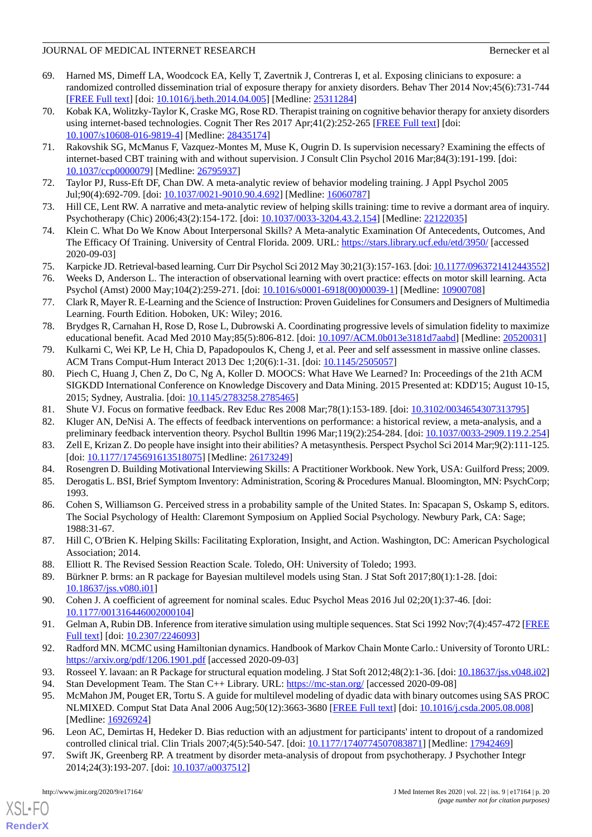- <span id="page-19-0"></span>69. Harned MS, Dimeff LA, Woodcock EA, Kelly T, Zavertnik J, Contreras I, et al. Exposing clinicians to exposure: a randomized controlled dissemination trial of exposure therapy for anxiety disorders. Behav Ther 2014 Nov;45(6):731-744 [[FREE Full text](http://europepmc.org/abstract/MED/25311284)] [doi: [10.1016/j.beth.2014.04.005\]](http://dx.doi.org/10.1016/j.beth.2014.04.005) [Medline: [25311284\]](http://www.ncbi.nlm.nih.gov/entrez/query.fcgi?cmd=Retrieve&db=PubMed&list_uids=25311284&dopt=Abstract)
- 70. Kobak KA, Wolitzky-Taylor K, Craske MG, Rose RD. Therapist training on cognitive behavior therapy for anxiety disorders using internet-based technologies. Cognit Ther Res 2017 Apr;41(2):252-265 [\[FREE Full text\]](http://europepmc.org/abstract/MED/28435174) [doi: [10.1007/s10608-016-9819-4\]](http://dx.doi.org/10.1007/s10608-016-9819-4) [Medline: [28435174](http://www.ncbi.nlm.nih.gov/entrez/query.fcgi?cmd=Retrieve&db=PubMed&list_uids=28435174&dopt=Abstract)]
- <span id="page-19-1"></span>71. Rakovshik SG, McManus F, Vazquez-Montes M, Muse K, Ougrin D. Is supervision necessary? Examining the effects of internet-based CBT training with and without supervision. J Consult Clin Psychol 2016 Mar;84(3):191-199. [doi: [10.1037/ccp0000079\]](http://dx.doi.org/10.1037/ccp0000079) [Medline: [26795937](http://www.ncbi.nlm.nih.gov/entrez/query.fcgi?cmd=Retrieve&db=PubMed&list_uids=26795937&dopt=Abstract)]
- <span id="page-19-3"></span><span id="page-19-2"></span>72. Taylor PJ, Russ-Eft DF, Chan DW. A meta-analytic review of behavior modeling training. J Appl Psychol 2005 Jul;90(4):692-709. [doi: [10.1037/0021-9010.90.4.692](http://dx.doi.org/10.1037/0021-9010.90.4.692)] [Medline: [16060787](http://www.ncbi.nlm.nih.gov/entrez/query.fcgi?cmd=Retrieve&db=PubMed&list_uids=16060787&dopt=Abstract)]
- <span id="page-19-4"></span>73. Hill CE, Lent RW. A narrative and meta-analytic review of helping skills training: time to revive a dormant area of inquiry. Psychotherapy (Chic) 2006;43(2):154-172. [doi: [10.1037/0033-3204.43.2.154\]](http://dx.doi.org/10.1037/0033-3204.43.2.154) [Medline: [22122035\]](http://www.ncbi.nlm.nih.gov/entrez/query.fcgi?cmd=Retrieve&db=PubMed&list_uids=22122035&dopt=Abstract)
- <span id="page-19-5"></span>74. Klein C. What Do We Know About Interpersonal Skills? A Meta-analytic Examination Of Antecedents, Outcomes, And The Efficacy Of Training. University of Central Florida. 2009. URL: <https://stars.library.ucf.edu/etd/3950/> [accessed 2020-09-03]
- <span id="page-19-7"></span><span id="page-19-6"></span>75. Karpicke JD. Retrieval-based learning. Curr Dir Psychol Sci 2012 May 30;21(3):157-163. [doi: [10.1177/0963721412443552\]](http://dx.doi.org/10.1177/0963721412443552)
- 76. Weeks D, Anderson L. The interaction of observational learning with overt practice: effects on motor skill learning. Acta Psychol (Amst) 2000 May;104(2):259-271. [doi: [10.1016/s0001-6918\(00\)00039-1\]](http://dx.doi.org/10.1016/s0001-6918(00)00039-1) [Medline: [10900708](http://www.ncbi.nlm.nih.gov/entrez/query.fcgi?cmd=Retrieve&db=PubMed&list_uids=10900708&dopt=Abstract)]
- <span id="page-19-8"></span>77. Clark R, Mayer R. E-Learning and the Science of Instruction: Proven Guidelines for Consumers and Designers of Multimedia Learning. Fourth Edition. Hoboken, UK: Wiley; 2016.
- <span id="page-19-10"></span><span id="page-19-9"></span>78. Brydges R, Carnahan H, Rose D, Rose L, Dubrowski A. Coordinating progressive levels of simulation fidelity to maximize educational benefit. Acad Med 2010 May;85(5):806-812. [doi: [10.1097/ACM.0b013e3181d7aabd](http://dx.doi.org/10.1097/ACM.0b013e3181d7aabd)] [Medline: [20520031](http://www.ncbi.nlm.nih.gov/entrez/query.fcgi?cmd=Retrieve&db=PubMed&list_uids=20520031&dopt=Abstract)]
- 79. Kulkarni C, Wei KP, Le H, Chia D, Papadopoulos K, Cheng J, et al. Peer and self assessment in massive online classes. ACM Trans Comput-Hum Interact 2013 Dec 1;20(6):1-31. [doi: [10.1145/2505057\]](http://dx.doi.org/10.1145/2505057)
- <span id="page-19-12"></span><span id="page-19-11"></span>80. Piech C, Huang J, Chen Z, Do C, Ng A, Koller D. MOOCS: What Have We Learned? In: Proceedings of the 21th ACM SIGKDD International Conference on Knowledge Discovery and Data Mining. 2015 Presented at: KDD'15; August 10-15, 2015; Sydney, Australia. [doi: [10.1145/2783258.2785465\]](http://dx.doi.org/10.1145/2783258.2785465)
- <span id="page-19-13"></span>81. Shute VJ. Focus on formative feedback. Rev Educ Res 2008 Mar;78(1):153-189. [doi: [10.3102/0034654307313795](http://dx.doi.org/10.3102/0034654307313795)]
- <span id="page-19-14"></span>82. Kluger AN, DeNisi A. The effects of feedback interventions on performance: a historical review, a meta-analysis, and a preliminary feedback intervention theory. Psychol Bulltin 1996 Mar;119(2):254-284. [doi: [10.1037/0033-2909.119.2.254](http://dx.doi.org/10.1037/0033-2909.119.2.254)]
- <span id="page-19-16"></span><span id="page-19-15"></span>83. Zell E, Krizan Z. Do people have insight into their abilities? A metasynthesis. Perspect Psychol Sci 2014 Mar;9(2):111-125. [doi: [10.1177/1745691613518075](http://dx.doi.org/10.1177/1745691613518075)] [Medline: [26173249\]](http://www.ncbi.nlm.nih.gov/entrez/query.fcgi?cmd=Retrieve&db=PubMed&list_uids=26173249&dopt=Abstract)
- 84. Rosengren D. Building Motivational Interviewing Skills: A Practitioner Workbook. New York, USA: Guilford Press; 2009.
- <span id="page-19-17"></span>85. Derogatis L. BSI, Brief Symptom Inventory: Administration, Scoring & Procedures Manual. Bloomington, MN: PsychCorp; 1993.
- <span id="page-19-21"></span><span id="page-19-18"></span>86. Cohen S, Williamson G. Perceived stress in a probability sample of the United States. In: Spacapan S, Oskamp S, editors. The Social Psychology of Health: Claremont Symposium on Applied Social Psychology. Newbury Park, CA: Sage; 1988:31-67.
- 87. Hill C, O'Brien K. Helping Skills: Facilitating Exploration, Insight, and Action. Washington, DC: American Psychological Association; 2014.
- 88. Elliott R. The Revised Session Reaction Scale. Toledo, OH: University of Toledo; 1993.
- 89. Bürkner P. brms: an R package for Bayesian multilevel models using Stan. J Stat Soft 2017;80(1):1-28. [doi: [10.18637/jss.v080.i01](http://dx.doi.org/10.18637/jss.v080.i01)]
- 90. Cohen J. A coefficient of agreement for nominal scales. Educ Psychol Meas 2016 Jul 02;20(1):37-46. [doi: [10.1177/001316446002000104\]](http://dx.doi.org/10.1177/001316446002000104)
- <span id="page-19-20"></span><span id="page-19-19"></span>91. Gelman A, Rubin DB. Inference from iterative simulation using multiple sequences. Stat Sci 1992 Nov;7(4):457-472 [\[FREE](https://www.jstor.org/stable/2246093) [Full text\]](https://www.jstor.org/stable/2246093) [doi: [10.2307/2246093\]](http://dx.doi.org/10.2307/2246093)
- <span id="page-19-22"></span>92. Radford MN. MCMC using Hamiltonian dynamics. Handbook of Markov Chain Monte Carlo.: University of Toronto URL: <https://arxiv.org/pdf/1206.1901.pdf> [accessed 2020-09-03]
- 93. Rosseel Y. lavaan: an R Package for structural equation modeling. J Stat Soft 2012;48(2):1-36. [doi: [10.18637/jss.v048.i02](http://dx.doi.org/10.18637/jss.v048.i02)]
- <span id="page-19-23"></span>94. Stan Development Team. The Stan C++ Library. URL:<https://mc-stan.org/> [accessed 2020-09-08]
- 95. McMahon JM, Pouget ER, Tortu S. A guide for multilevel modeling of dyadic data with binary outcomes using SAS PROC NLMIXED. Comput Stat Data Anal 2006 Aug;50(12):3663-3680 [[FREE Full text](http://europepmc.org/abstract/MED/16926924)] [doi: [10.1016/j.csda.2005.08.008](http://dx.doi.org/10.1016/j.csda.2005.08.008)] [Medline: [16926924](http://www.ncbi.nlm.nih.gov/entrez/query.fcgi?cmd=Retrieve&db=PubMed&list_uids=16926924&dopt=Abstract)]
- 96. Leon AC, Demirtas H, Hedeker D. Bias reduction with an adjustment for participants' intent to dropout of a randomized controlled clinical trial. Clin Trials 2007;4(5):540-547. [doi: [10.1177/1740774507083871](http://dx.doi.org/10.1177/1740774507083871)] [Medline: [17942469\]](http://www.ncbi.nlm.nih.gov/entrez/query.fcgi?cmd=Retrieve&db=PubMed&list_uids=17942469&dopt=Abstract)
- 97. Swift JK, Greenberg RP. A treatment by disorder meta-analysis of dropout from psychotherapy. J Psychother Integr 2014;24(3):193-207. [doi: [10.1037/a0037512](http://dx.doi.org/10.1037/a0037512)]